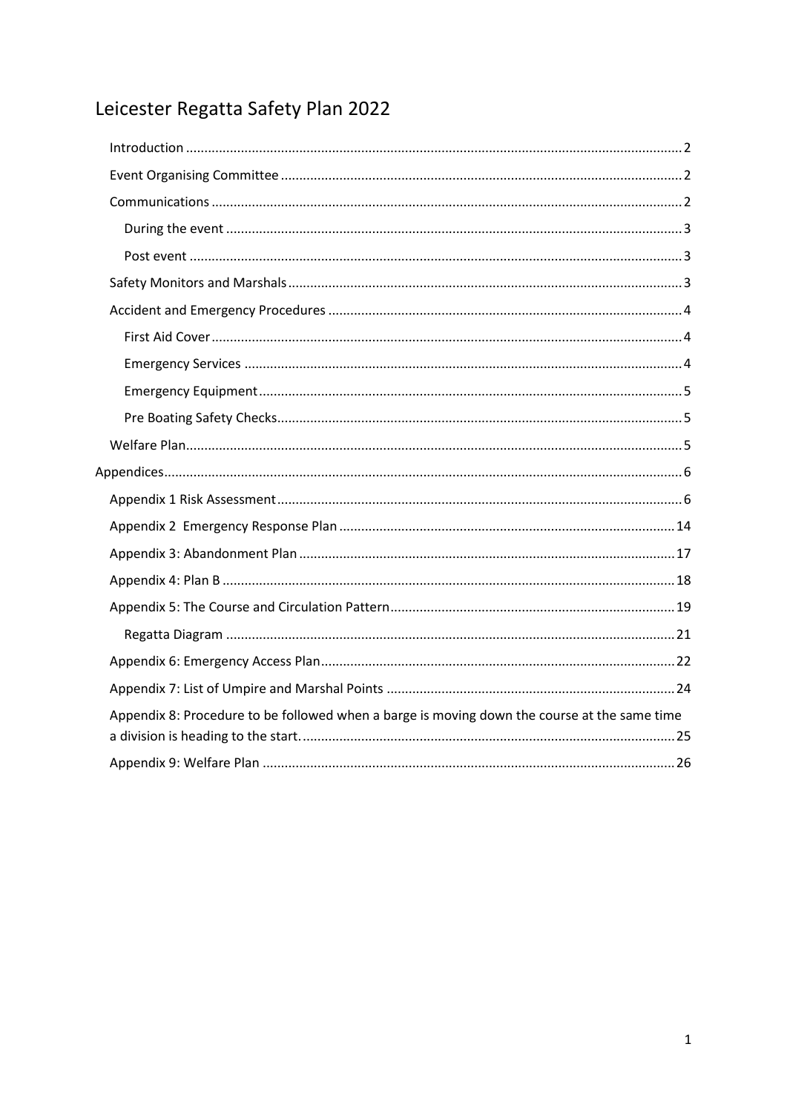# Leicester Regatta Safety Plan 2022

| Appendix 8: Procedure to be followed when a barge is moving down the course at the same time |  |
|----------------------------------------------------------------------------------------------|--|
|                                                                                              |  |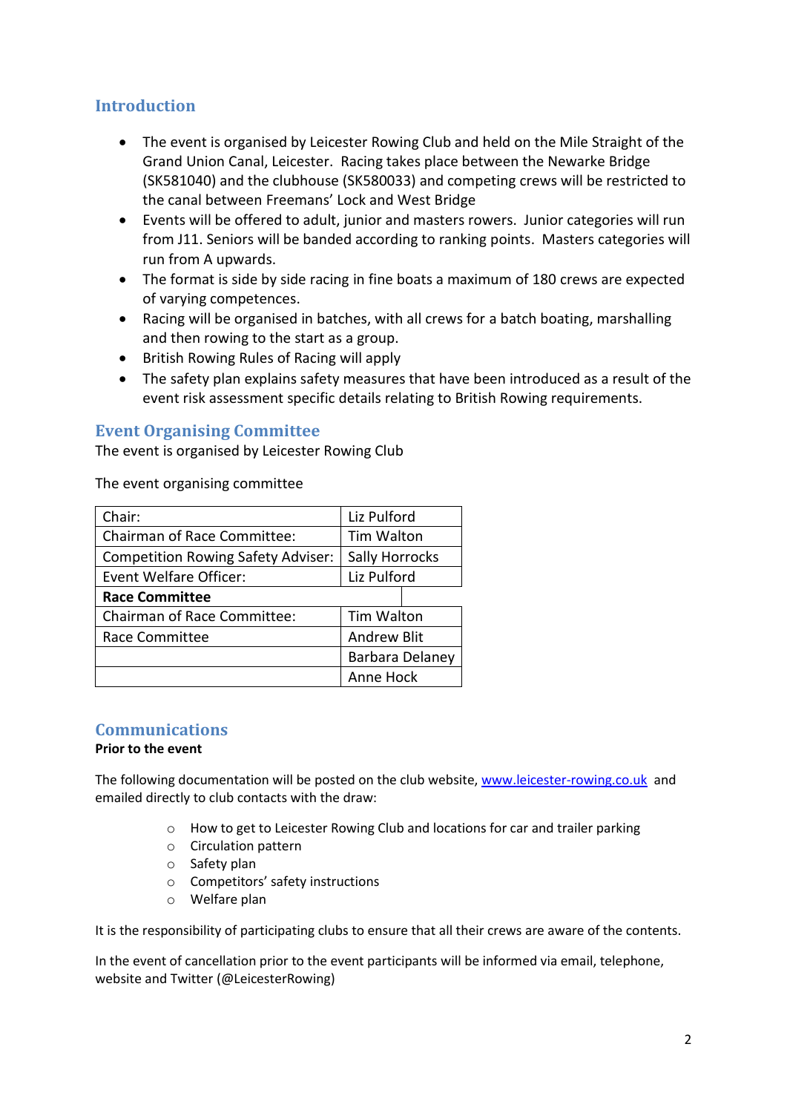## <span id="page-1-0"></span>**Introduction**

- The event is organised by Leicester Rowing Club and held on the Mile Straight of the Grand Union Canal, Leicester. Racing takes place between the Newarke Bridge (SK581040) and the clubhouse (SK580033) and competing crews will be restricted to the canal between Freemans' Lock and West Bridge
- Events will be offered to adult, junior and masters rowers. Junior categories will run from J11. Seniors will be banded according to ranking points. Masters categories will run from A upwards.
- The format is side by side racing in fine boats a maximum of 180 crews are expected of varying competences.
- Racing will be organised in batches, with all crews for a batch boating, marshalling and then rowing to the start as a group.
- British Rowing Rules of Racing will apply
- The safety plan explains safety measures that have been introduced as a result of the event risk assessment specific details relating to British Rowing requirements.

#### <span id="page-1-1"></span>**Event Organising Committee**

The event is organised by Leicester Rowing Club

The event organising committee

| Chair:                                    | Liz Pulford        |  |  |
|-------------------------------------------|--------------------|--|--|
| <b>Chairman of Race Committee:</b>        | Tim Walton         |  |  |
| <b>Competition Rowing Safety Adviser:</b> | Sally Horrocks     |  |  |
| <b>Event Welfare Officer:</b>             | Liz Pulford        |  |  |
| <b>Race Committee</b>                     |                    |  |  |
| <b>Chairman of Race Committee:</b>        | Tim Walton         |  |  |
| Race Committee                            | <b>Andrew Blit</b> |  |  |
|                                           | Barbara Delaney    |  |  |
|                                           | Anne Hock          |  |  |

#### <span id="page-1-2"></span>**Communications**

#### **Prior to the event**

The following documentation will be posted on the club website, [www.leicester-rowing.co.uk](http://www.leicester-rowing.co.uk/) and emailed directly to club contacts with the draw:

- o How to get to Leicester Rowing Club and locations for car and trailer parking
- o Circulation pattern
- o Safety plan
- o Competitors' safety instructions
- o Welfare plan

It is the responsibility of participating clubs to ensure that all their crews are aware of the contents.

In the event of cancellation prior to the event participants will be informed via email, telephone, website and Twitter (@LeicesterRowing)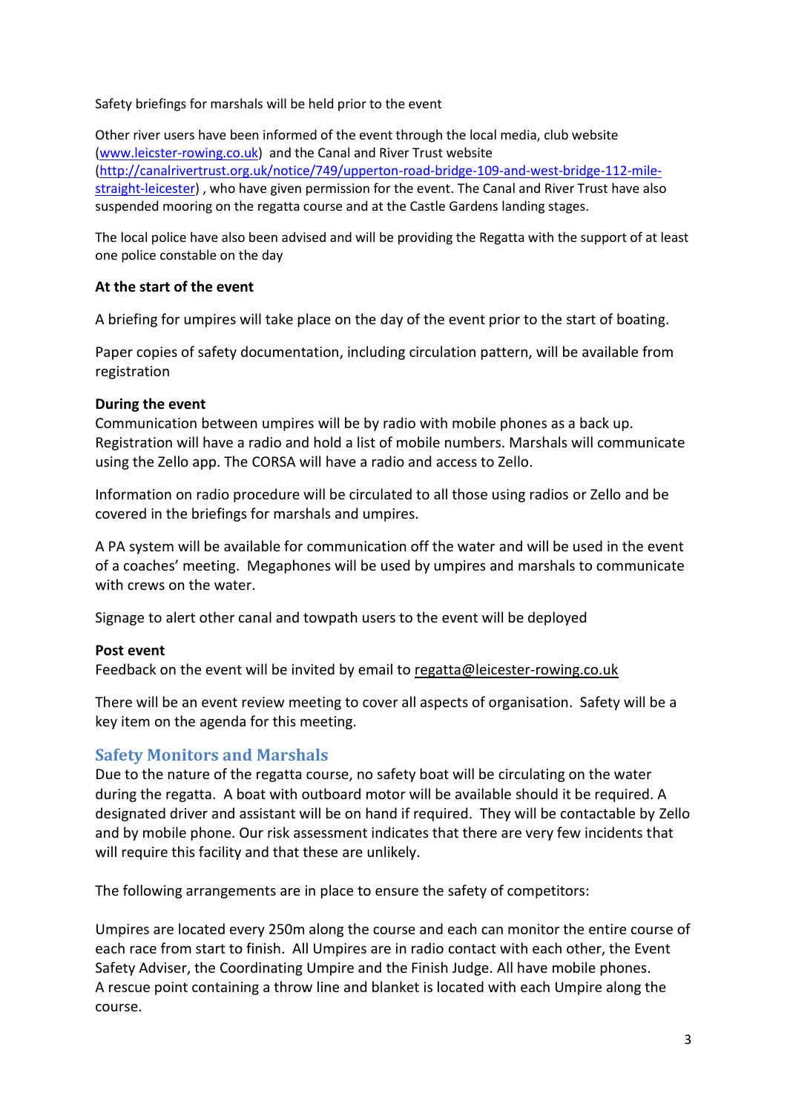Safety briefings for marshals will be held prior to the event

Other river users have been informed of the event through the local media, club website [\(www.leicster-rowing.co.uk\)](http://www.leicster-rowing.co.uk/) and the Canal and River Trust website [\(http://canalrivertrust.org.uk/notice/749/upperton-road-bridge-109-and-west-bridge-112-mile](http://canalrivertrust.org.uk/notice/749/upperton-road-bridge-109-and-west-bridge-112-mile-straight-leicester)[straight-leicester\)](http://canalrivertrust.org.uk/notice/749/upperton-road-bridge-109-and-west-bridge-112-mile-straight-leicester) , who have given permission for the event. The Canal and River Trust have also suspended mooring on the regatta course and at the Castle Gardens landing stages.

The local police have also been advised and will be providing the Regatta with the support of at least one police constable on the day

#### **At the start of the event**

A briefing for umpires will take place on the day of the event prior to the start of boating.

Paper copies of safety documentation, including circulation pattern, will be available from registration

#### <span id="page-2-0"></span>**During the event**

Communication between umpires will be by radio with mobile phones as a back up. Registration will have a radio and hold a list of mobile numbers. Marshals will communicate using the Zello app. The CORSA will have a radio and access to Zello.

Information on radio procedure will be circulated to all those using radios or Zello and be covered in the briefings for marshals and umpires.

A PA system will be available for communication off the water and will be used in the event of a coaches' meeting. Megaphones will be used by umpires and marshals to communicate with crews on the water.

Signage to alert other canal and towpath users to the event will be deployed

#### <span id="page-2-1"></span>**Post event**

Feedback on the event will be invited by email to [regatta@leicester-rowing.co.uk](mailto:regatta@leicester-rowing.co.uk)

There will be an event review meeting to cover all aspects of organisation. Safety will be a key item on the agenda for this meeting.

#### <span id="page-2-2"></span>**Safety Monitors and Marshals**

Due to the nature of the regatta course, no safety boat will be circulating on the water during the regatta. A boat with outboard motor will be available should it be required. A designated driver and assistant will be on hand if required. They will be contactable by Zello and by mobile phone. Our risk assessment indicates that there are very few incidents that will require this facility and that these are unlikely.

The following arrangements are in place to ensure the safety of competitors:

Umpires are located every 250m along the course and each can monitor the entire course of each race from start to finish. All Umpires are in radio contact with each other, the Event Safety Adviser, the Coordinating Umpire and the Finish Judge. All have mobile phones. A rescue point containing a throw line and blanket is located with each Umpire along the course.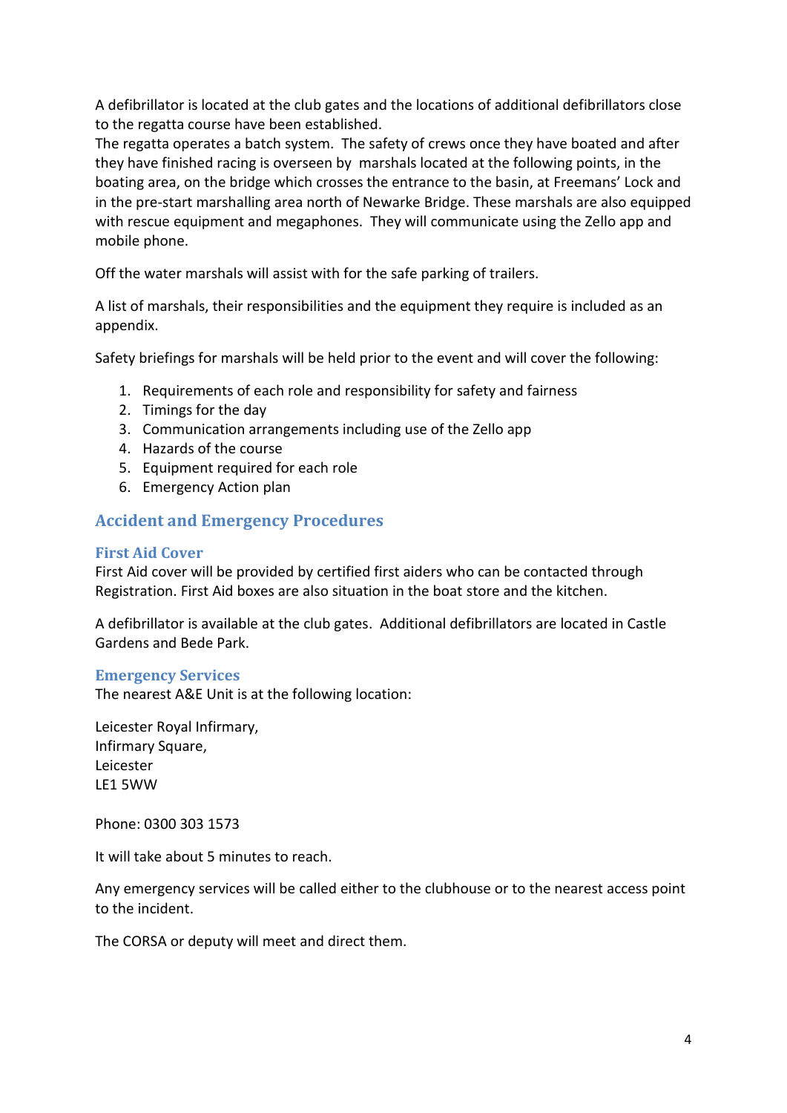A defibrillator is located at the club gates and the locations of additional defibrillators close to the regatta course have been established.

The regatta operates a batch system. The safety of crews once they have boated and after they have finished racing is overseen by marshals located at the following points, in the boating area, on the bridge which crosses the entrance to the basin, at Freemans' Lock and in the pre-start marshalling area north of Newarke Bridge. These marshals are also equipped with rescue equipment and megaphones. They will communicate using the Zello app and mobile phone.

Off the water marshals will assist with for the safe parking of trailers.

A list of marshals, their responsibilities and the equipment they require is included as an appendix.

Safety briefings for marshals will be held prior to the event and will cover the following:

- 1. Requirements of each role and responsibility for safety and fairness
- 2. Timings for the day
- 3. Communication arrangements including use of the Zello app
- 4. Hazards of the course
- 5. Equipment required for each role
- 6. Emergency Action plan

### <span id="page-3-0"></span>**Accident and Emergency Procedures**

#### <span id="page-3-1"></span>**First Aid Cover**

First Aid cover will be provided by certified first aiders who can be contacted through Registration. First Aid boxes are also situation in the boat store and the kitchen.

A defibrillator is available at the club gates. Additional defibrillators are located in Castle Gardens and Bede Park.

#### <span id="page-3-2"></span>**Emergency Services**

The nearest A&E Unit is at the following location:

Leicester Royal Infirmary, Infirmary Square, Leicester LE1 5WW

Phone: 0300 303 1573

It will take about 5 minutes to reach.

Any emergency services will be called either to the clubhouse or to the nearest access point to the incident.

The CORSA or deputy will meet and direct them.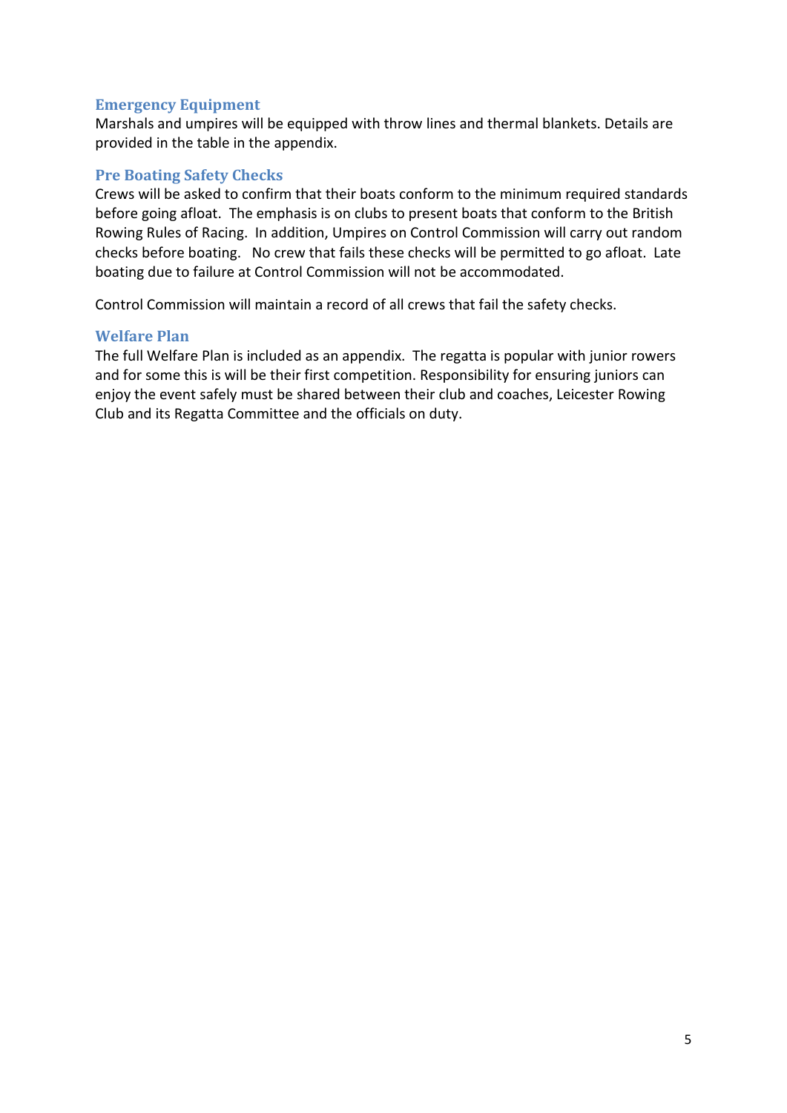#### <span id="page-4-0"></span>**Emergency Equipment**

Marshals and umpires will be equipped with throw lines and thermal blankets. Details are provided in the table in the appendix.

#### <span id="page-4-1"></span>**Pre Boating Safety Checks**

Crews will be asked to confirm that their boats conform to the minimum required standards before going afloat. The emphasis is on clubs to present boats that conform to the British Rowing Rules of Racing. In addition, Umpires on Control Commission will carry out random checks before boating. No crew that fails these checks will be permitted to go afloat. Late boating due to failure at Control Commission will not be accommodated.

Control Commission will maintain a record of all crews that fail the safety checks.

#### <span id="page-4-2"></span>**Welfare Plan**

The full Welfare Plan is included as an appendix. The regatta is popular with junior rowers and for some this is will be their first competition. Responsibility for ensuring juniors can enjoy the event safely must be shared between their club and coaches, Leicester Rowing Club and its Regatta Committee and the officials on duty.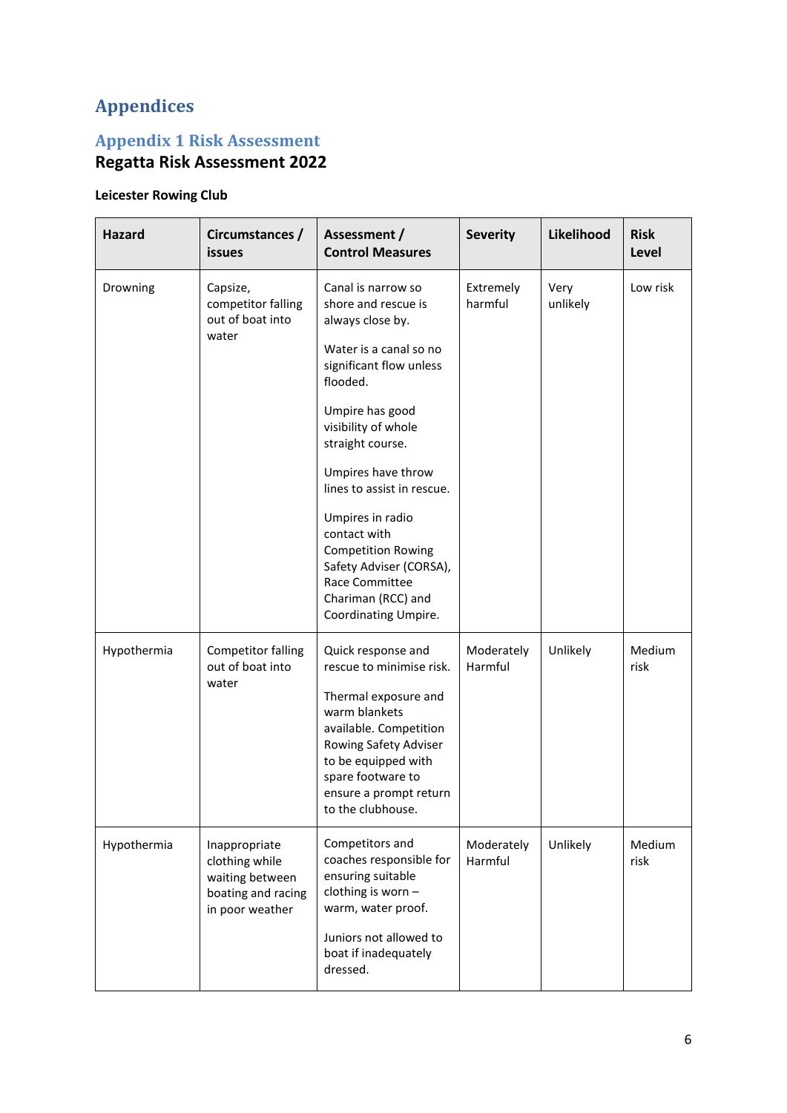## <span id="page-5-0"></span>**Appendices**

## <span id="page-5-1"></span>**Appendix 1 Risk Assessment**

## **Regatta Risk Assessment 2022**

## **Leicester Rowing Club**

| <b>Hazard</b> | Circumstances /<br>issues                                                                   | Assessment /<br><b>Control Measures</b>                                                                                                                                                                                                                                                                                                                                                                      | <b>Severity</b>       | Likelihood       | <b>Risk</b><br>Level |
|---------------|---------------------------------------------------------------------------------------------|--------------------------------------------------------------------------------------------------------------------------------------------------------------------------------------------------------------------------------------------------------------------------------------------------------------------------------------------------------------------------------------------------------------|-----------------------|------------------|----------------------|
| Drowning      | Capsize,<br>competitor falling<br>out of boat into<br>water                                 | Canal is narrow so<br>shore and rescue is<br>always close by.<br>Water is a canal so no<br>significant flow unless<br>flooded.<br>Umpire has good<br>visibility of whole<br>straight course.<br>Umpires have throw<br>lines to assist in rescue.<br>Umpires in radio<br>contact with<br><b>Competition Rowing</b><br>Safety Adviser (CORSA),<br>Race Committee<br>Chariman (RCC) and<br>Coordinating Umpire. | Extremely<br>harmful  | Very<br>unlikely | Low risk             |
| Hypothermia   | <b>Competitor falling</b><br>out of boat into<br>water                                      | Quick response and<br>rescue to minimise risk.<br>Thermal exposure and<br>warm blankets<br>available. Competition<br>Rowing Safety Adviser<br>to be equipped with<br>spare footware to<br>ensure a prompt return<br>to the clubhouse.                                                                                                                                                                        | Moderately<br>Harmful | Unlikely         | Medium<br>risk       |
| Hypothermia   | Inappropriate<br>clothing while<br>waiting between<br>boating and racing<br>in poor weather | Competitors and<br>coaches responsible for<br>ensuring suitable<br>clothing is worn -<br>warm, water proof.<br>Juniors not allowed to<br>boat if inadequately<br>dressed.                                                                                                                                                                                                                                    | Moderately<br>Harmful | Unlikely         | Medium<br>risk       |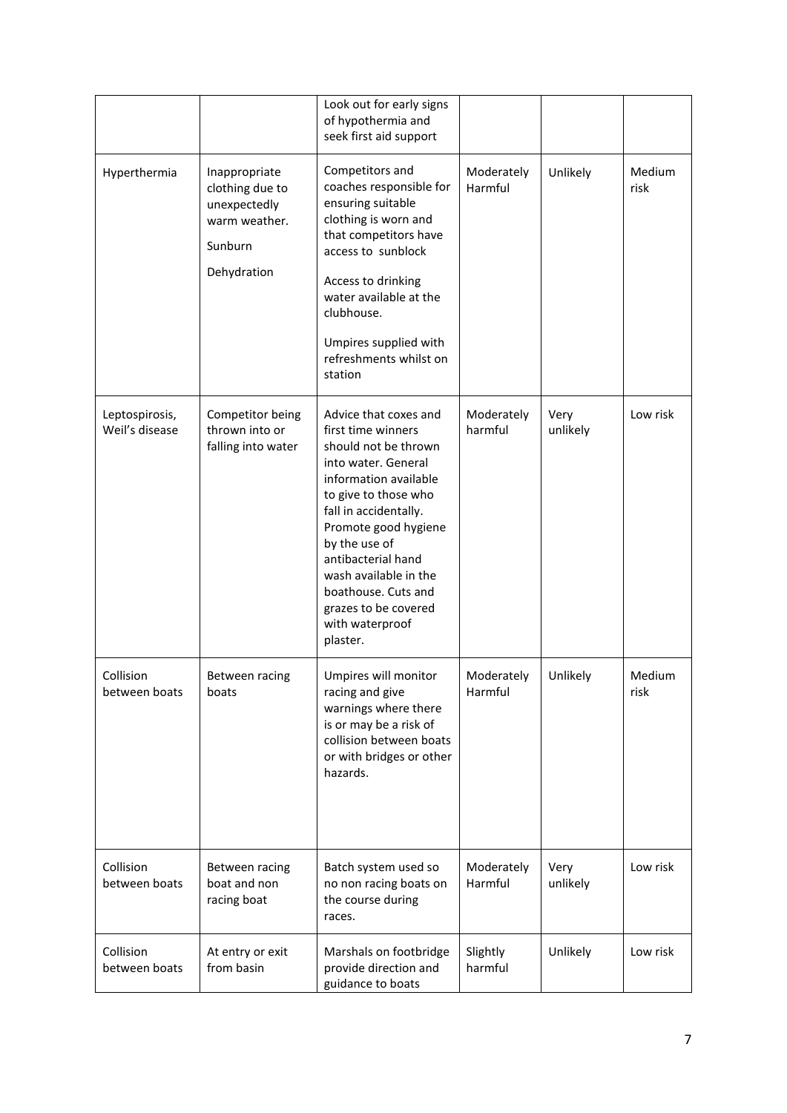|                                  |                                                                                             | Look out for early signs<br>of hypothermia and<br>seek first aid support                                                                                                                                                                                                                                                                   |                       |                  |                |
|----------------------------------|---------------------------------------------------------------------------------------------|--------------------------------------------------------------------------------------------------------------------------------------------------------------------------------------------------------------------------------------------------------------------------------------------------------------------------------------------|-----------------------|------------------|----------------|
| Hyperthermia                     | Inappropriate<br>clothing due to<br>unexpectedly<br>warm weather.<br>Sunburn<br>Dehydration | Competitors and<br>coaches responsible for<br>ensuring suitable<br>clothing is worn and<br>that competitors have<br>access to sunblock<br>Access to drinking<br>water available at the<br>clubhouse.<br>Umpires supplied with<br>refreshments whilst on<br>station                                                                         | Moderately<br>Harmful | Unlikely         | Medium<br>risk |
| Leptospirosis,<br>Weil's disease | Competitor being<br>thrown into or<br>falling into water                                    | Advice that coxes and<br>first time winners<br>should not be thrown<br>into water. General<br>information available<br>to give to those who<br>fall in accidentally.<br>Promote good hygiene<br>by the use of<br>antibacterial hand<br>wash available in the<br>boathouse. Cuts and<br>grazes to be covered<br>with waterproof<br>plaster. | Moderately<br>harmful | Very<br>unlikely | Low risk       |
| Collision<br>between boats       | Between racing<br>boats                                                                     | Umpires will monitor<br>racing and give<br>warnings where there<br>is or may be a risk of<br>collision between boats<br>or with bridges or other<br>hazards.                                                                                                                                                                               | Moderately<br>Harmful | Unlikely         | Medium<br>risk |
| Collision<br>between boats       | Between racing<br>boat and non<br>racing boat                                               | Batch system used so<br>no non racing boats on<br>the course during<br>races.                                                                                                                                                                                                                                                              | Moderately<br>Harmful | Very<br>unlikely | Low risk       |
| Collision<br>between boats       | At entry or exit<br>from basin                                                              | Marshals on footbridge<br>provide direction and<br>guidance to boats                                                                                                                                                                                                                                                                       | Slightly<br>harmful   | Unlikely         | Low risk       |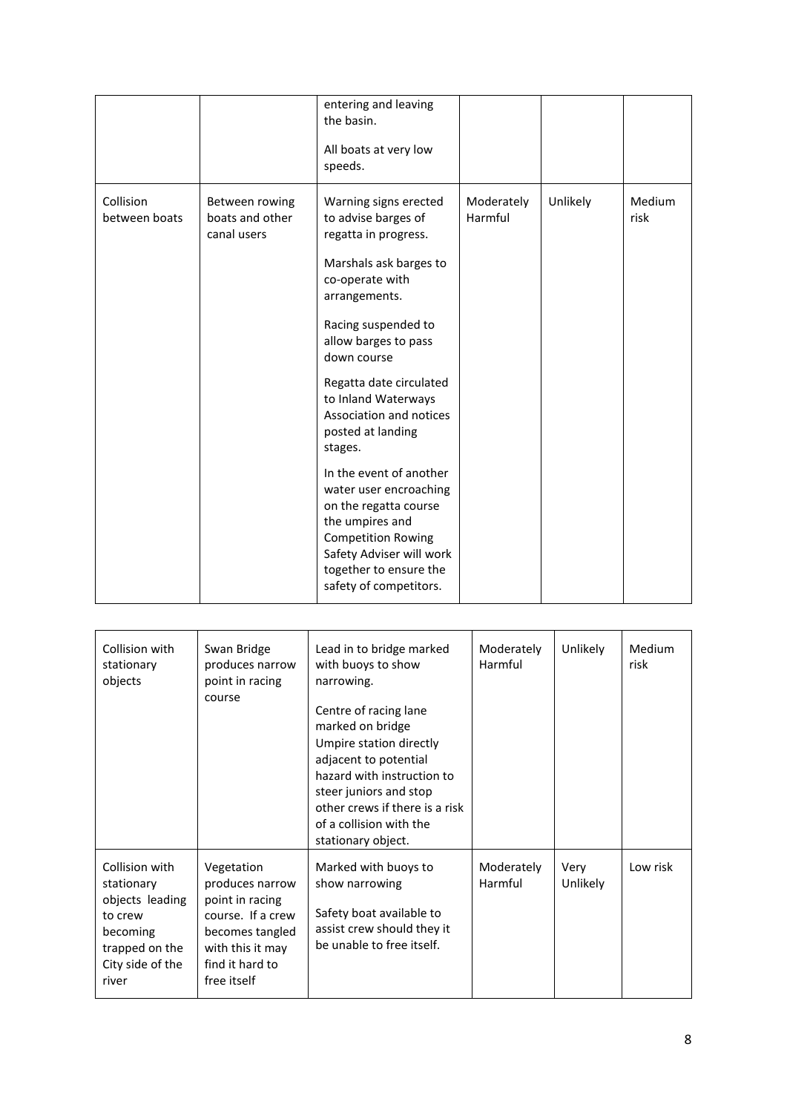|                            |                                                  | entering and leaving<br>the basin.<br>All boats at very low<br>speeds.                                                                                                                                                                                                                                                                                                                                                                                                                                                      |                       |          |                |
|----------------------------|--------------------------------------------------|-----------------------------------------------------------------------------------------------------------------------------------------------------------------------------------------------------------------------------------------------------------------------------------------------------------------------------------------------------------------------------------------------------------------------------------------------------------------------------------------------------------------------------|-----------------------|----------|----------------|
| Collision<br>between boats | Between rowing<br>boats and other<br>canal users | Warning signs erected<br>to advise barges of<br>regatta in progress.<br>Marshals ask barges to<br>co-operate with<br>arrangements.<br>Racing suspended to<br>allow barges to pass<br>down course<br>Regatta date circulated<br>to Inland Waterways<br>Association and notices<br>posted at landing<br>stages.<br>In the event of another<br>water user encroaching<br>on the regatta course<br>the umpires and<br><b>Competition Rowing</b><br>Safety Adviser will work<br>together to ensure the<br>safety of competitors. | Moderately<br>Harmful | Unlikely | Medium<br>risk |

| Collision with<br>stationary<br>objects                                                                               | Swan Bridge<br>produces narrow<br>point in racing<br>course                                                                                    | Lead in to bridge marked<br>with buoys to show<br>narrowing.<br>Centre of racing lane<br>marked on bridge<br>Umpire station directly<br>adjacent to potential<br>hazard with instruction to<br>steer juniors and stop<br>other crews if there is a risk<br>of a collision with the<br>stationary object. | Moderately<br>Harmful | Unlikely         | Medium<br>risk |
|-----------------------------------------------------------------------------------------------------------------------|------------------------------------------------------------------------------------------------------------------------------------------------|----------------------------------------------------------------------------------------------------------------------------------------------------------------------------------------------------------------------------------------------------------------------------------------------------------|-----------------------|------------------|----------------|
| Collision with<br>stationary<br>objects leading<br>to crew<br>becoming<br>trapped on the<br>City side of the<br>river | Vegetation<br>produces narrow<br>point in racing<br>course. If a crew<br>becomes tangled<br>with this it may<br>find it hard to<br>free itself | Marked with buoys to<br>show narrowing<br>Safety boat available to<br>assist crew should they it<br>be unable to free itself.                                                                                                                                                                            | Moderately<br>Harmful | Very<br>Unlikely | Low risk       |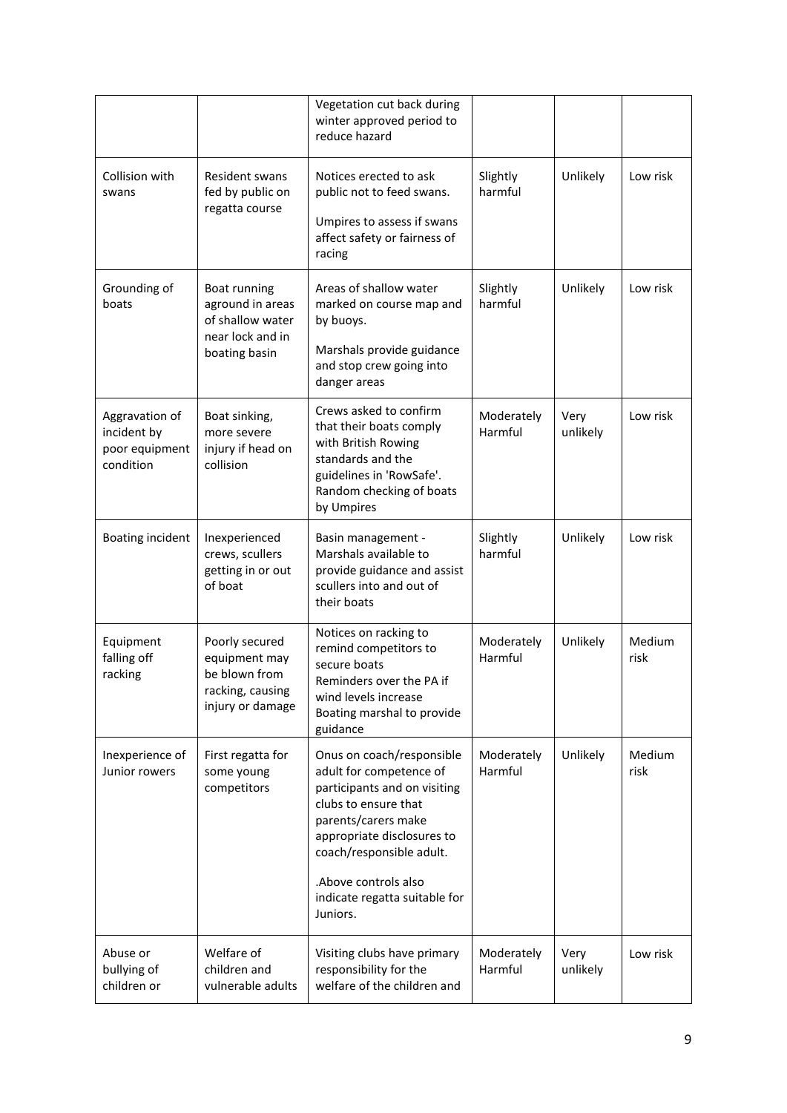|                                                              |                                                                                           | Vegetation cut back during<br>winter approved period to<br>reduce hazard                                                                                                                                                                                           |                       |                  |                |
|--------------------------------------------------------------|-------------------------------------------------------------------------------------------|--------------------------------------------------------------------------------------------------------------------------------------------------------------------------------------------------------------------------------------------------------------------|-----------------------|------------------|----------------|
| Collision with<br>swans                                      | Resident swans<br>fed by public on<br>regatta course                                      | Notices erected to ask<br>public not to feed swans.<br>Umpires to assess if swans<br>affect safety or fairness of<br>racing                                                                                                                                        | Slightly<br>harmful   | Unlikely         | Low risk       |
| Grounding of<br>boats                                        | Boat running<br>aground in areas<br>of shallow water<br>near lock and in<br>boating basin | Areas of shallow water<br>marked on course map and<br>by buoys.<br>Marshals provide guidance<br>and stop crew going into<br>danger areas                                                                                                                           | Slightly<br>harmful   | Unlikely         | Low risk       |
| Aggravation of<br>incident by<br>poor equipment<br>condition | Boat sinking,<br>more severe<br>injury if head on<br>collision                            | Crews asked to confirm<br>that their boats comply<br>with British Rowing<br>standards and the<br>guidelines in 'RowSafe'.<br>Random checking of boats<br>by Umpires                                                                                                | Moderately<br>Harmful | Very<br>unlikely | Low risk       |
| Boating incident                                             | Inexperienced<br>crews, scullers<br>getting in or out<br>of boat                          | Basin management -<br>Marshals available to<br>provide guidance and assist<br>scullers into and out of<br>their boats                                                                                                                                              | Slightly<br>harmful   | Unlikely         | Low risk       |
| Equipment<br>falling off<br>racking                          | Poorly secured<br>equipment may<br>be blown from<br>racking, causing<br>injury or damage  | Notices on racking to<br>remind competitors to<br>secure boats<br>Reminders over the PA if<br>wind levels increase<br>Boating marshal to provide<br>guidance                                                                                                       | Moderately<br>Harmful | Unlikely         | Medium<br>risk |
| Inexperience of<br>Junior rowers                             | First regatta for<br>some young<br>competitors                                            | Onus on coach/responsible<br>adult for competence of<br>participants and on visiting<br>clubs to ensure that<br>parents/carers make<br>appropriate disclosures to<br>coach/responsible adult.<br>.Above controls also<br>indicate regatta suitable for<br>Juniors. | Moderately<br>Harmful | Unlikely         | Medium<br>risk |
| Abuse or<br>bullying of<br>children or                       | Welfare of<br>children and<br>vulnerable adults                                           | Visiting clubs have primary<br>responsibility for the<br>welfare of the children and                                                                                                                                                                               | Moderately<br>Harmful | Very<br>unlikely | Low risk       |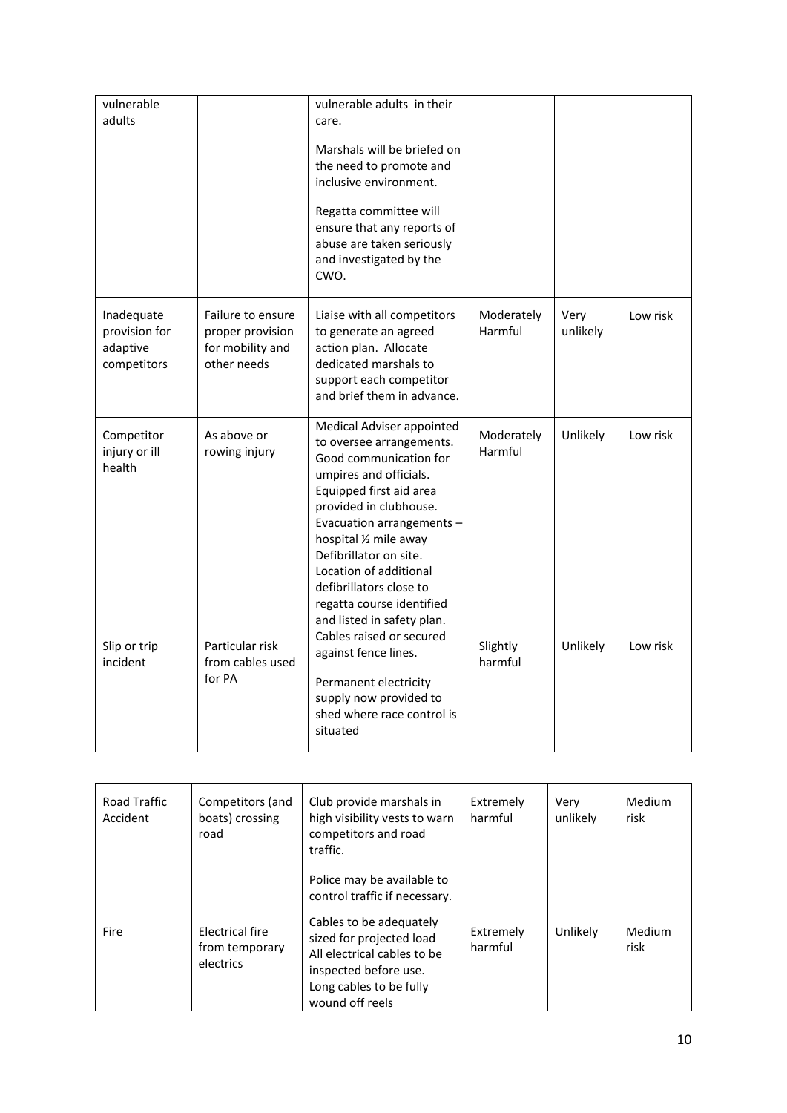| vulnerable<br>adults                                   |                                                                          | vulnerable adults in their<br>care.<br>Marshals will be briefed on<br>the need to promote and<br>inclusive environment.<br>Regatta committee will<br>ensure that any reports of<br>abuse are taken seriously<br>and investigated by the<br>CWO.                                                                                                                 |                       |                  |          |
|--------------------------------------------------------|--------------------------------------------------------------------------|-----------------------------------------------------------------------------------------------------------------------------------------------------------------------------------------------------------------------------------------------------------------------------------------------------------------------------------------------------------------|-----------------------|------------------|----------|
| Inadequate<br>provision for<br>adaptive<br>competitors | Failure to ensure<br>proper provision<br>for mobility and<br>other needs | Liaise with all competitors<br>to generate an agreed<br>action plan. Allocate<br>dedicated marshals to<br>support each competitor<br>and brief them in advance.                                                                                                                                                                                                 | Moderately<br>Harmful | Very<br>unlikely | Low risk |
| Competitor<br>injury or ill<br>health                  | As above or<br>rowing injury                                             | Medical Adviser appointed<br>to oversee arrangements.<br>Good communication for<br>umpires and officials.<br>Equipped first aid area<br>provided in clubhouse.<br>Evacuation arrangements -<br>hospital 1/2 mile away<br>Defibrillator on site.<br>Location of additional<br>defibrillators close to<br>regatta course identified<br>and listed in safety plan. | Moderately<br>Harmful | Unlikely         | Low risk |
| Slip or trip<br>incident                               | Particular risk<br>from cables used<br>for PA                            | Cables raised or secured<br>against fence lines.<br>Permanent electricity<br>supply now provided to<br>shed where race control is<br>situated                                                                                                                                                                                                                   | Slightly<br>harmful   | Unlikely         | Low risk |

| <b>Road Traffic</b><br>Accident | Competitors (and<br>boats) crossing<br>road           | Club provide marshals in<br>high visibility vests to warn<br>competitors and road<br>traffic.<br>Police may be available to<br>control traffic if necessary. | Extremely<br>harmful | Very<br>unlikely | Medium<br>risk |
|---------------------------------|-------------------------------------------------------|--------------------------------------------------------------------------------------------------------------------------------------------------------------|----------------------|------------------|----------------|
| Fire                            | <b>Electrical fire</b><br>from temporary<br>electrics | Cables to be adequately<br>sized for projected load<br>All electrical cables to be<br>inspected before use.<br>Long cables to be fully<br>wound off reels    | Extremely<br>harmful | Unlikely         | Medium<br>risk |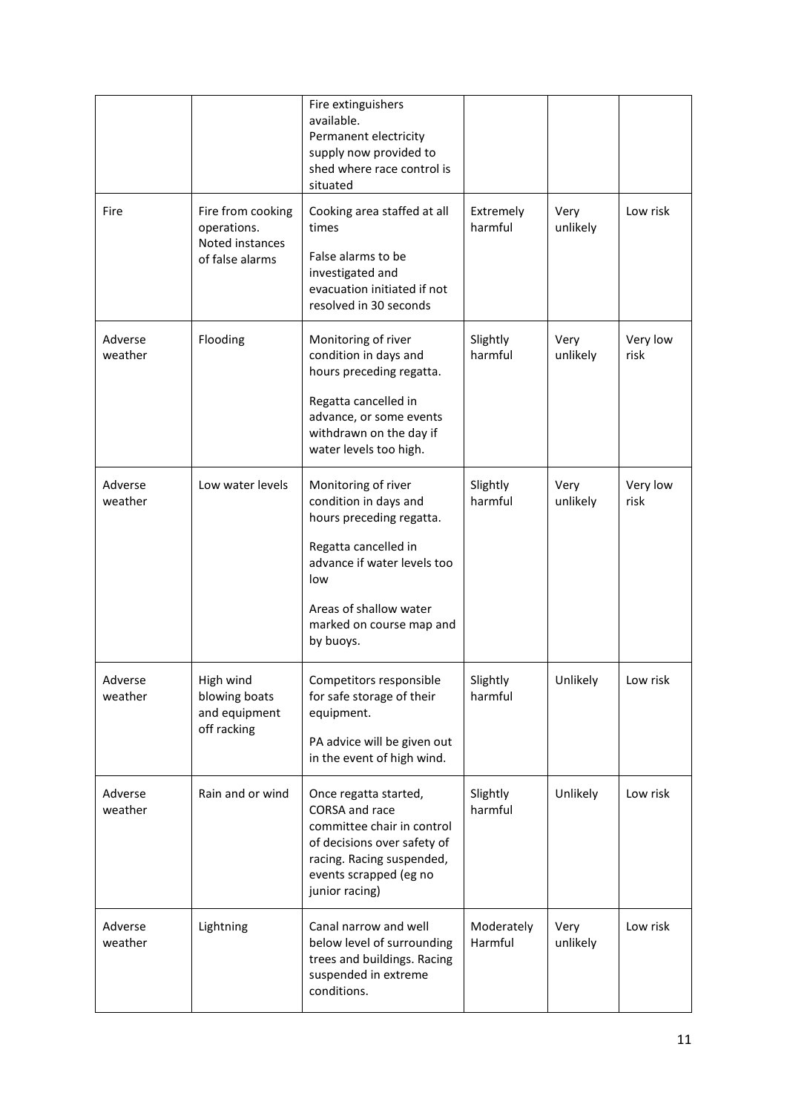|                    |                                                                        | Fire extinguishers<br>available.<br>Permanent electricity<br>supply now provided to<br>shed where race control is<br>situated                                                                             |                       |                  |                  |
|--------------------|------------------------------------------------------------------------|-----------------------------------------------------------------------------------------------------------------------------------------------------------------------------------------------------------|-----------------------|------------------|------------------|
| Fire               | Fire from cooking<br>operations.<br>Noted instances<br>of false alarms | Cooking area staffed at all<br>times<br>False alarms to be<br>investigated and<br>evacuation initiated if not<br>resolved in 30 seconds                                                                   | Extremely<br>harmful  | Very<br>unlikely | Low risk         |
| Adverse<br>weather | Flooding                                                               | Monitoring of river<br>condition in days and<br>hours preceding regatta.<br>Regatta cancelled in<br>advance, or some events<br>withdrawn on the day if<br>water levels too high.                          | Slightly<br>harmful   | Very<br>unlikely | Very low<br>risk |
| Adverse<br>weather | Low water levels                                                       | Monitoring of river<br>condition in days and<br>hours preceding regatta.<br>Regatta cancelled in<br>advance if water levels too<br>low<br>Areas of shallow water<br>marked on course map and<br>by buoys. | Slightly<br>harmful   | Very<br>unlikely | Very low<br>risk |
| Adverse<br>weather | High wind<br>blowing boats<br>and equipment<br>off racking             | Competitors responsible<br>for safe storage of their<br>equipment.<br>PA advice will be given out<br>in the event of high wind.                                                                           | Slightly<br>harmful   | Unlikely         | Low risk         |
| Adverse<br>weather | Rain and or wind                                                       | Once regatta started,<br>CORSA and race<br>committee chair in control<br>of decisions over safety of<br>racing. Racing suspended,<br>events scrapped (eg no<br>junior racing)                             | Slightly<br>harmful   | Unlikely         | Low risk         |
| Adverse<br>weather | Lightning                                                              | Canal narrow and well<br>below level of surrounding<br>trees and buildings. Racing<br>suspended in extreme<br>conditions.                                                                                 | Moderately<br>Harmful | Very<br>unlikely | Low risk         |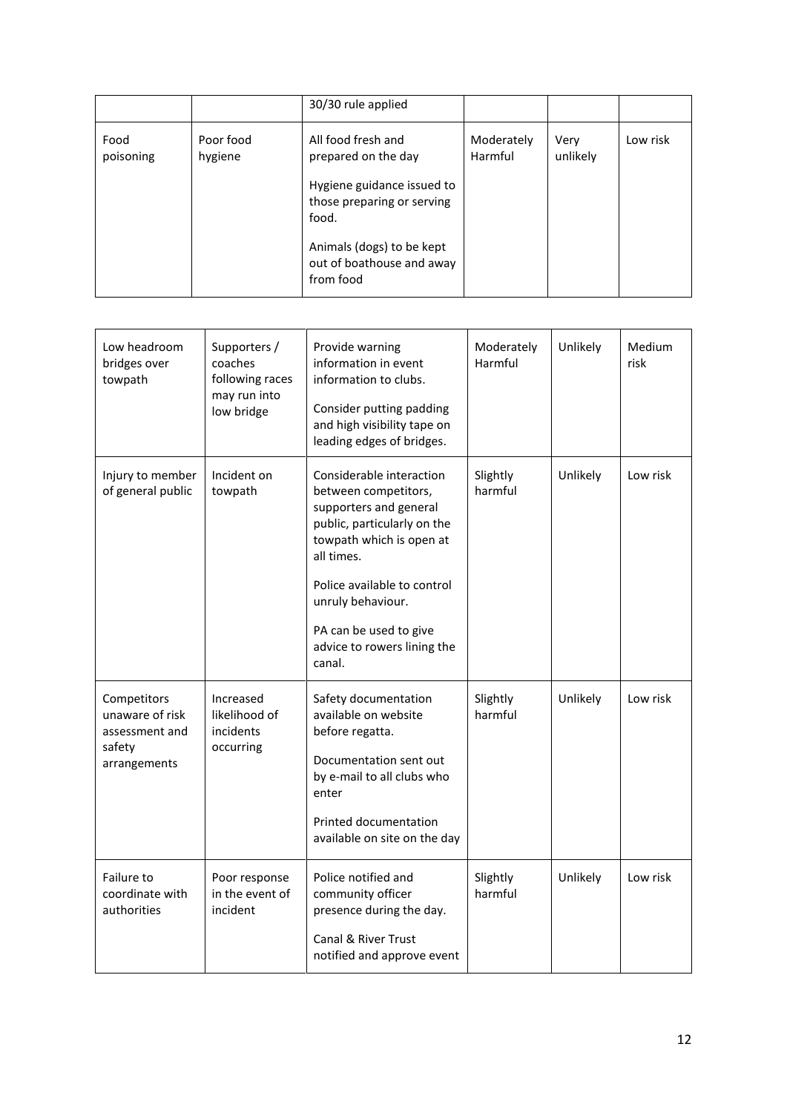|                   |                      | 30/30 rule applied                                                  |                       |                  |          |
|-------------------|----------------------|---------------------------------------------------------------------|-----------------------|------------------|----------|
| Food<br>poisoning | Poor food<br>hygiene | All food fresh and<br>prepared on the day                           | Moderately<br>Harmful | Very<br>unlikely | Low risk |
|                   |                      | Hygiene guidance issued to<br>those preparing or serving<br>food.   |                       |                  |          |
|                   |                      | Animals (dogs) to be kept<br>out of boathouse and away<br>from food |                       |                  |          |

| Low headroom<br>bridges over<br>towpath                                    | Supporters /<br>coaches<br>following races<br>may run into<br>low bridge | Provide warning<br>information in event<br>information to clubs.<br>Consider putting padding<br>and high visibility tape on<br>leading edges of bridges.                                                                                                                   | Moderately<br>Harmful | Unlikely | Medium<br>risk |
|----------------------------------------------------------------------------|--------------------------------------------------------------------------|----------------------------------------------------------------------------------------------------------------------------------------------------------------------------------------------------------------------------------------------------------------------------|-----------------------|----------|----------------|
| Injury to member<br>of general public                                      | Incident on<br>towpath                                                   | Considerable interaction<br>between competitors,<br>supporters and general<br>public, particularly on the<br>towpath which is open at<br>all times.<br>Police available to control<br>unruly behaviour.<br>PA can be used to give<br>advice to rowers lining the<br>canal. | Slightly<br>harmful   | Unlikely | Low risk       |
| Competitors<br>unaware of risk<br>assessment and<br>safety<br>arrangements | Increased<br>likelihood of<br>incidents<br>occurring                     | Safety documentation<br>available on website<br>before regatta.<br>Documentation sent out<br>by e-mail to all clubs who<br>enter<br>Printed documentation<br>available on site on the day                                                                                  | Slightly<br>harmful   | Unlikely | Low risk       |
| Failure to<br>coordinate with<br>authorities                               | Poor response<br>in the event of<br>incident                             | Police notified and<br>community officer<br>presence during the day.<br>Canal & River Trust<br>notified and approve event                                                                                                                                                  | Slightly<br>harmful   | Unlikely | Low risk       |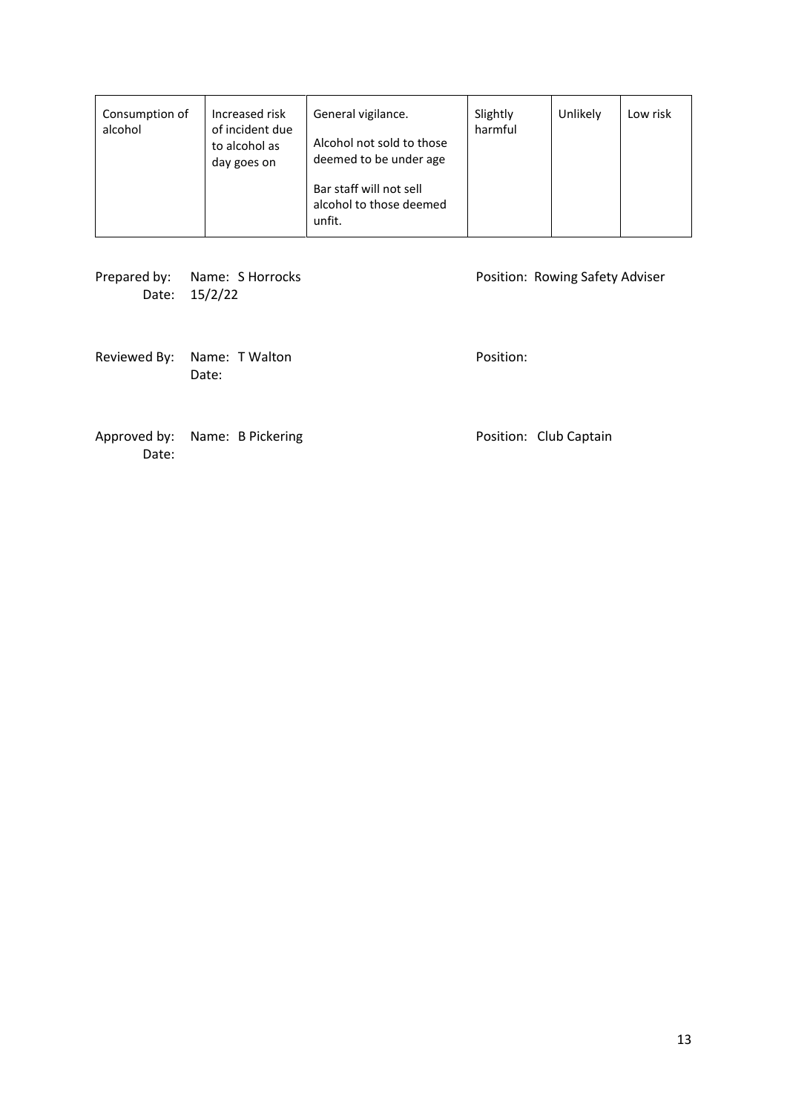| Consumption of<br>alcohol | Increased risk<br>of incident due<br>to alcohol as<br>day goes on | General vigilance.<br>Alcohol not sold to those<br>deemed to be under age | Slightly<br>harmful | Unlikely | Low risk |
|---------------------------|-------------------------------------------------------------------|---------------------------------------------------------------------------|---------------------|----------|----------|
|                           |                                                                   | Bar staff will not sell<br>alcohol to those deemed<br>unfit.              |                     |          |          |

Prepared by: Name: S Horrocks Position: Rowing Safety Adviser Date: 15/2/22

Reviewed By: Name: T Walton **Position:** Date:

Approved by: Name: B Pickering entitled and the Position: Club Captain Date: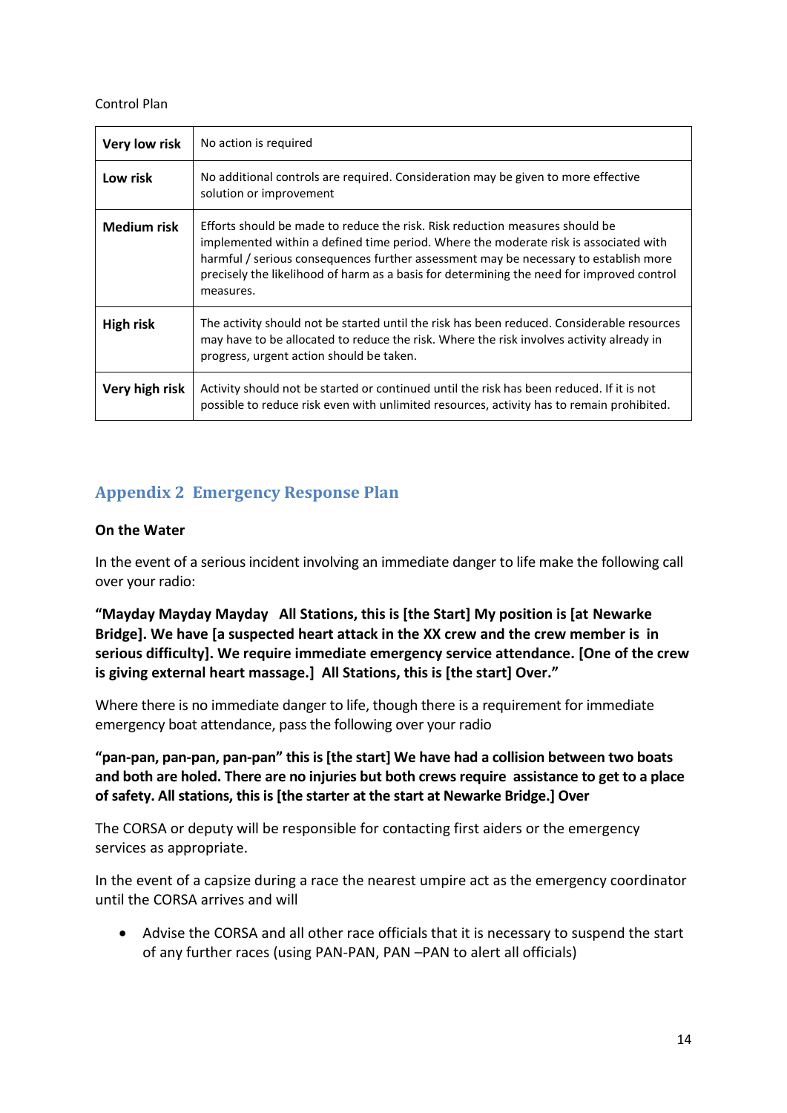#### Control Plan

| Very low risk    | No action is required                                                                                                                                                                                                                                                                                                                                                  |
|------------------|------------------------------------------------------------------------------------------------------------------------------------------------------------------------------------------------------------------------------------------------------------------------------------------------------------------------------------------------------------------------|
| Low risk         | No additional controls are required. Consideration may be given to more effective<br>solution or improvement                                                                                                                                                                                                                                                           |
| Medium risk      | Efforts should be made to reduce the risk. Risk reduction measures should be<br>implemented within a defined time period. Where the moderate risk is associated with<br>harmful / serious consequences further assessment may be necessary to establish more<br>precisely the likelihood of harm as a basis for determining the need for improved control<br>measures. |
| <b>High risk</b> | The activity should not be started until the risk has been reduced. Considerable resources<br>may have to be allocated to reduce the risk. Where the risk involves activity already in<br>progress, urgent action should be taken.                                                                                                                                     |
| Very high risk   | Activity should not be started or continued until the risk has been reduced. If it is not<br>possible to reduce risk even with unlimited resources, activity has to remain prohibited.                                                                                                                                                                                 |

## <span id="page-13-0"></span>**Appendix 2 Emergency Response Plan**

#### **On the Water**

In the event of a serious incident involving an immediate danger to life make the following call over your radio:

**"Mayday Mayday Mayday All Stations, this is [the Start] My position is [at Newarke Bridge]. We have [a suspected heart attack in the XX crew and the crew member is in serious difficulty]. We require immediate emergency service attendance. [One of the crew is giving external heart massage.] All Stations, this is [the start] Over."**

Where there is no immediate danger to life, though there is a requirement for immediate emergency boat attendance, pass the following over your radio

**"pan-pan, pan-pan, pan-pan" this is [the start] We have had a collision between two boats and both are holed. There are no injuries but both crews require assistance to get to a place of safety. All stations, this is [the starter at the start at Newarke Bridge.] Over**

The CORSA or deputy will be responsible for contacting first aiders or the emergency services as appropriate.

In the event of a capsize during a race the nearest umpire act as the emergency coordinator until the CORSA arrives and will

• Advise the CORSA and all other race officials that it is necessary to suspend the start of any further races (using PAN-PAN, PAN –PAN to alert all officials)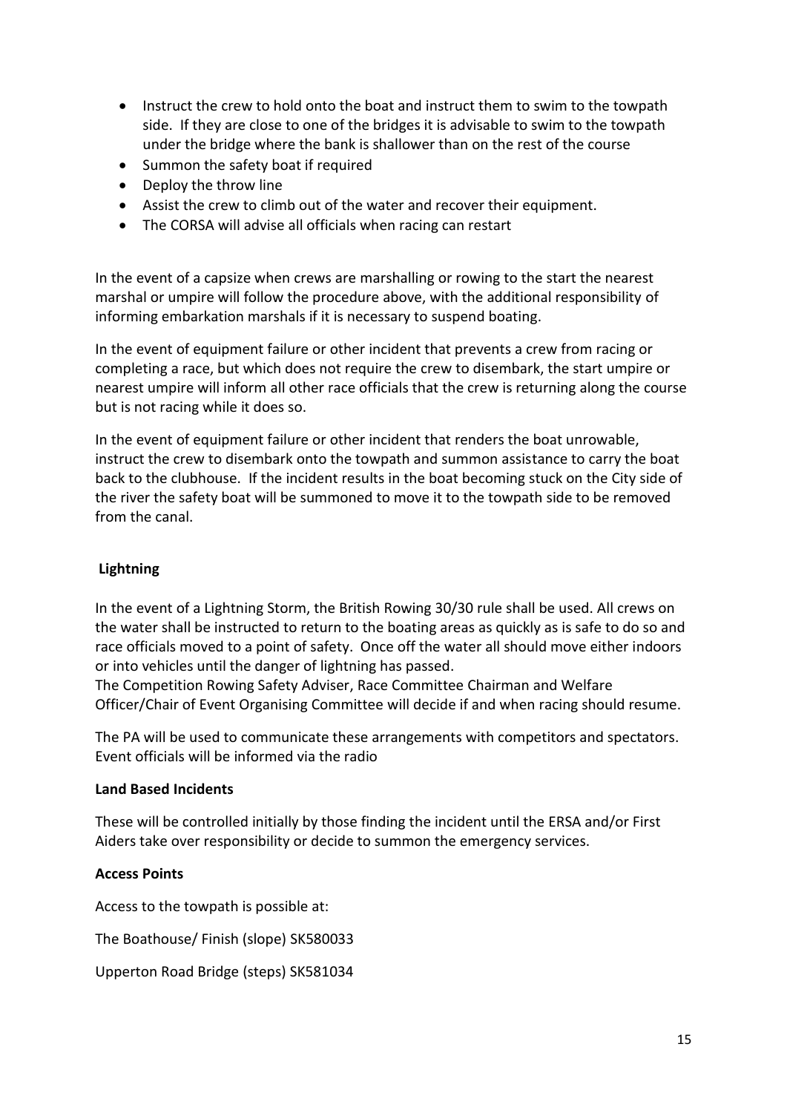- Instruct the crew to hold onto the boat and instruct them to swim to the towpath side. If they are close to one of the bridges it is advisable to swim to the towpath under the bridge where the bank is shallower than on the rest of the course
- Summon the safety boat if required
- Deploy the throw line
- Assist the crew to climb out of the water and recover their equipment.
- The CORSA will advise all officials when racing can restart

In the event of a capsize when crews are marshalling or rowing to the start the nearest marshal or umpire will follow the procedure above, with the additional responsibility of informing embarkation marshals if it is necessary to suspend boating.

In the event of equipment failure or other incident that prevents a crew from racing or completing a race, but which does not require the crew to disembark, the start umpire or nearest umpire will inform all other race officials that the crew is returning along the course but is not racing while it does so.

In the event of equipment failure or other incident that renders the boat unrowable, instruct the crew to disembark onto the towpath and summon assistance to carry the boat back to the clubhouse. If the incident results in the boat becoming stuck on the City side of the river the safety boat will be summoned to move it to the towpath side to be removed from the canal.

#### **Lightning**

In the event of a Lightning Storm, the British Rowing 30/30 rule shall be used. All crews on the water shall be instructed to return to the boating areas as quickly as is safe to do so and race officials moved to a point of safety. Once off the water all should move either indoors or into vehicles until the danger of lightning has passed.

The Competition Rowing Safety Adviser, Race Committee Chairman and Welfare Officer/Chair of Event Organising Committee will decide if and when racing should resume.

The PA will be used to communicate these arrangements with competitors and spectators. Event officials will be informed via the radio

#### **Land Based Incidents**

These will be controlled initially by those finding the incident until the ERSA and/or First Aiders take over responsibility or decide to summon the emergency services.

#### **Access Points**

Access to the towpath is possible at:

The Boathouse/ Finish (slope) SK580033

Upperton Road Bridge (steps) SK581034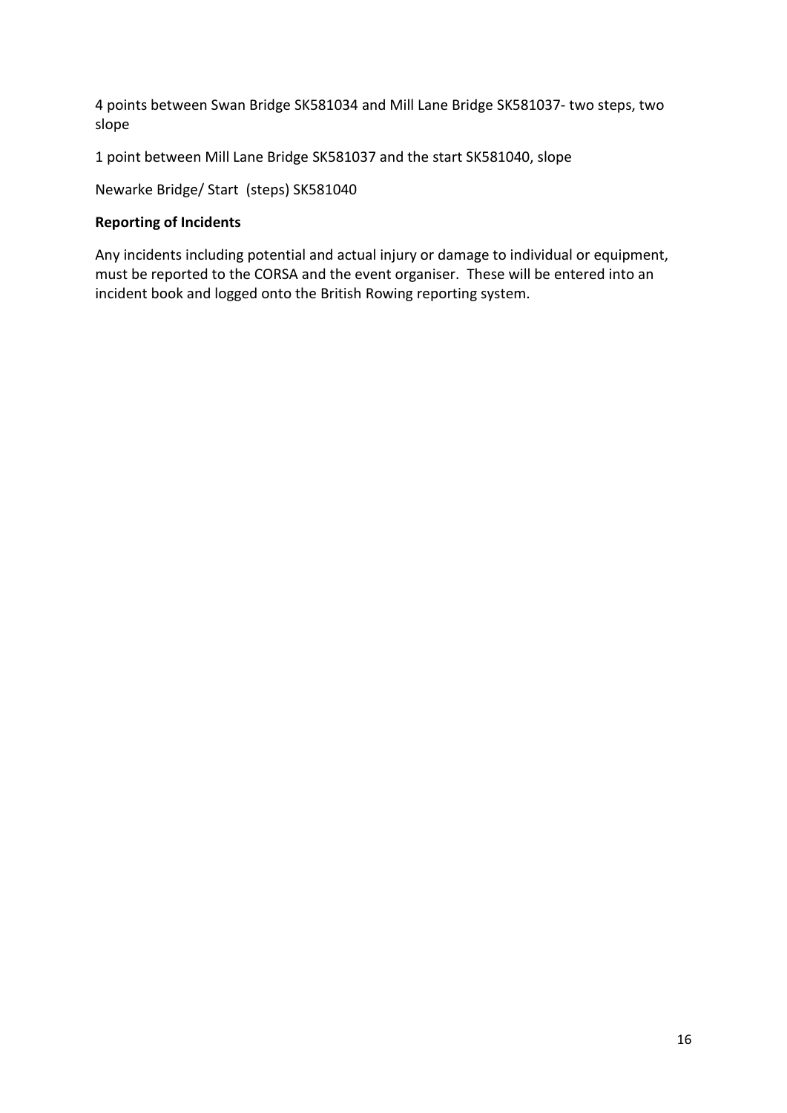4 points between Swan Bridge SK581034 and Mill Lane Bridge SK581037- two steps, two slope

1 point between Mill Lane Bridge SK581037 and the start SK581040, slope

Newarke Bridge/ Start (steps) SK581040

#### **Reporting of Incidents**

Any incidents including potential and actual injury or damage to individual or equipment, must be reported to the CORSA and the event organiser. These will be entered into an incident book and logged onto the British Rowing reporting system.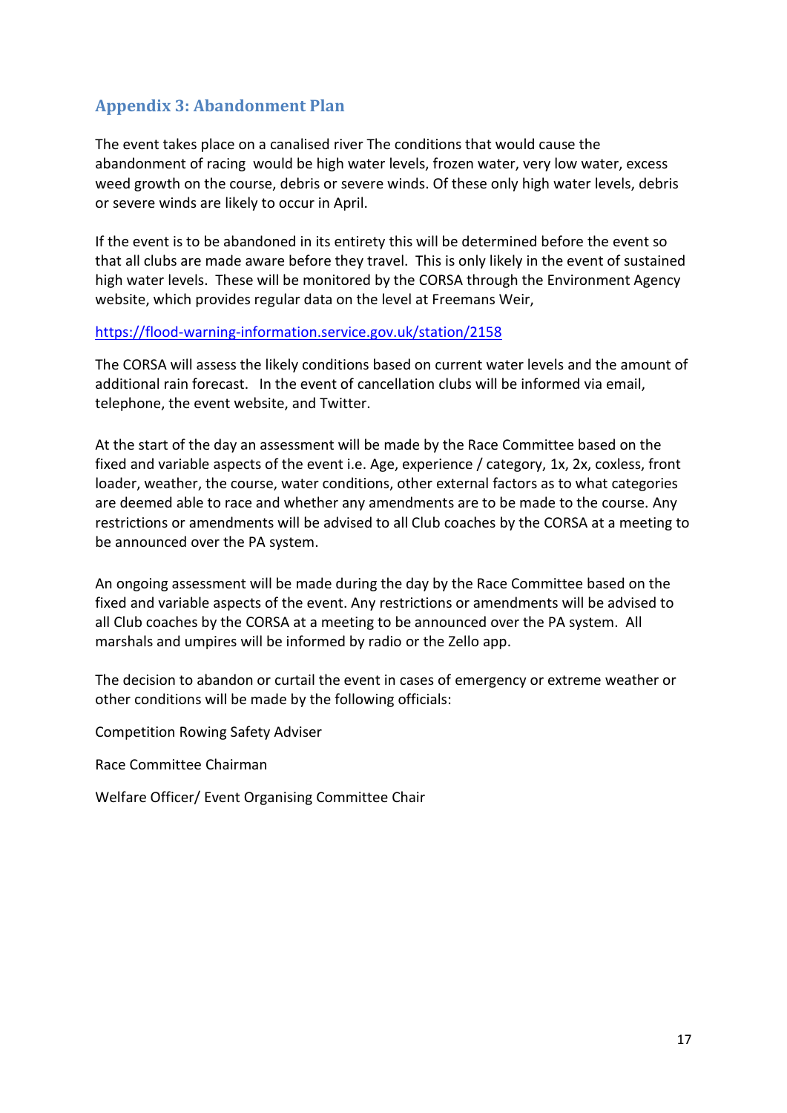## <span id="page-16-0"></span>**Appendix 3: Abandonment Plan**

The event takes place on a canalised river The conditions that would cause the abandonment of racing would be high water levels, frozen water, very low water, excess weed growth on the course, debris or severe winds. Of these only high water levels, debris or severe winds are likely to occur in April.

If the event is to be abandoned in its entirety this will be determined before the event so that all clubs are made aware before they travel. This is only likely in the event of sustained high water levels. These will be monitored by the CORSA through the Environment Agency website, which provides regular data on the level at Freemans Weir,

#### <https://flood-warning-information.service.gov.uk/station/2158>

The CORSA will assess the likely conditions based on current water levels and the amount of additional rain forecast. In the event of cancellation clubs will be informed via email, telephone, the event website, and Twitter.

At the start of the day an assessment will be made by the Race Committee based on the fixed and variable aspects of the event i.e. Age, experience / category, 1x, 2x, coxless, front loader, weather, the course, water conditions, other external factors as to what categories are deemed able to race and whether any amendments are to be made to the course. Any restrictions or amendments will be advised to all Club coaches by the CORSA at a meeting to be announced over the PA system.

An ongoing assessment will be made during the day by the Race Committee based on the fixed and variable aspects of the event. Any restrictions or amendments will be advised to all Club coaches by the CORSA at a meeting to be announced over the PA system. All marshals and umpires will be informed by radio or the Zello app.

The decision to abandon or curtail the event in cases of emergency or extreme weather or other conditions will be made by the following officials:

Competition Rowing Safety Adviser

Race Committee Chairman

Welfare Officer/ Event Organising Committee Chair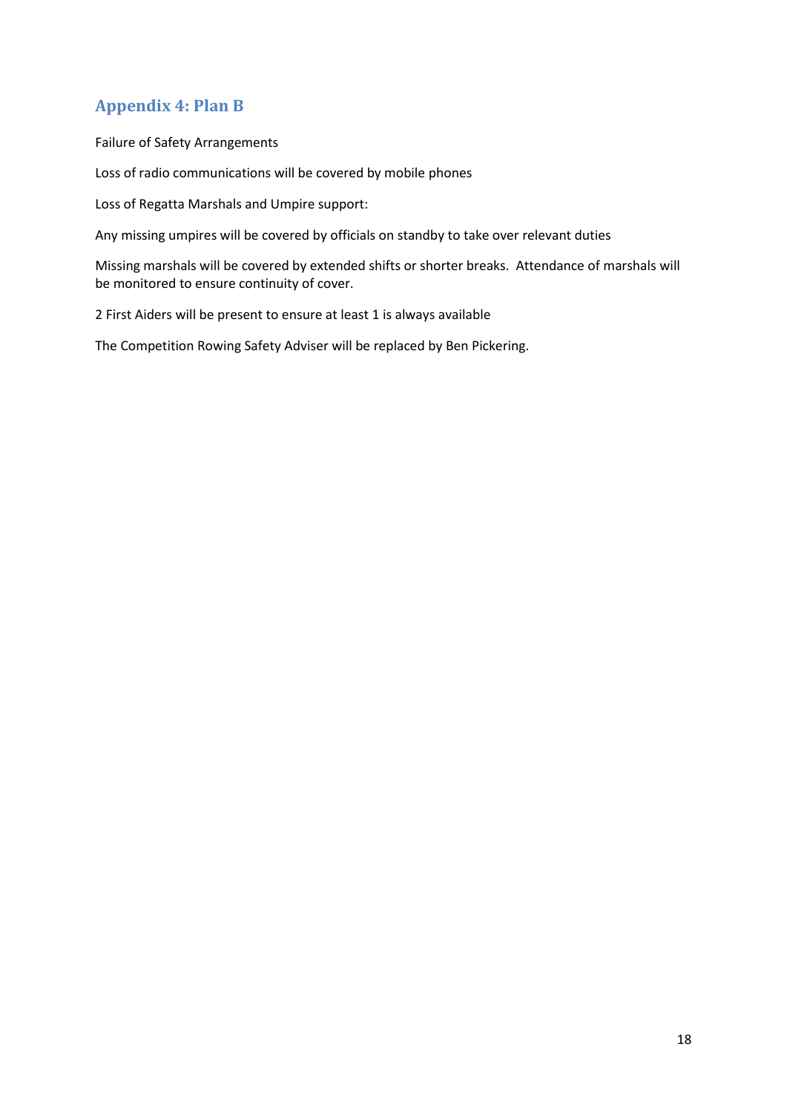## <span id="page-17-0"></span>**Appendix 4: Plan B**

Failure of Safety Arrangements

Loss of radio communications will be covered by mobile phones

Loss of Regatta Marshals and Umpire support:

Any missing umpires will be covered by officials on standby to take over relevant duties

Missing marshals will be covered by extended shifts or shorter breaks. Attendance of marshals will be monitored to ensure continuity of cover.

2 First Aiders will be present to ensure at least 1 is always available

The Competition Rowing Safety Adviser will be replaced by Ben Pickering.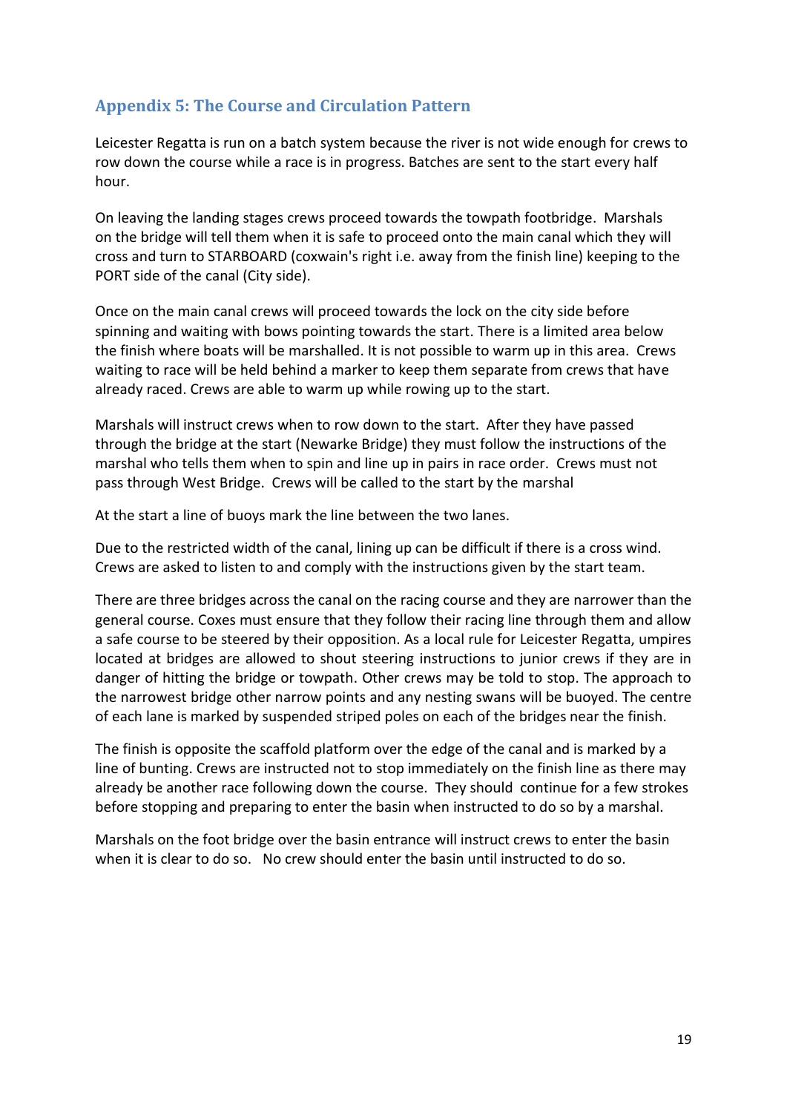## <span id="page-18-0"></span>**Appendix 5: The Course and Circulation Pattern**

Leicester Regatta is run on a batch system because the river is not wide enough for crews to row down the course while a race is in progress. Batches are sent to the start every half hour.

On leaving the landing stages crews proceed towards the towpath footbridge. Marshals on the bridge will tell them when it is safe to proceed onto the main canal which they will cross and turn to STARBOARD (coxwain's right i.e. away from the finish line) keeping to the PORT side of the canal (City side).

Once on the main canal crews will proceed towards the lock on the city side before spinning and waiting with bows pointing towards the start. There is a limited area below the finish where boats will be marshalled. It is not possible to warm up in this area. Crews waiting to race will be held behind a marker to keep them separate from crews that have already raced. Crews are able to warm up while rowing up to the start.

Marshals will instruct crews when to row down to the start. After they have passed through the bridge at the start (Newarke Bridge) they must follow the instructions of the marshal who tells them when to spin and line up in pairs in race order. Crews must not pass through West Bridge. Crews will be called to the start by the marshal

At the start a line of buoys mark the line between the two lanes.

Due to the restricted width of the canal, lining up can be difficult if there is a cross wind. Crews are asked to listen to and comply with the instructions given by the start team.

There are three bridges across the canal on the racing course and they are narrower than the general course. Coxes must ensure that they follow their racing line through them and allow a safe course to be steered by their opposition. As a local rule for Leicester Regatta, umpires located at bridges are allowed to shout steering instructions to junior crews if they are in danger of hitting the bridge or towpath. Other crews may be told to stop. The approach to the narrowest bridge other narrow points and any nesting swans will be buoyed. The centre of each lane is marked by suspended striped poles on each of the bridges near the finish.

The finish is opposite the scaffold platform over the edge of the canal and is marked by a line of bunting. Crews are instructed not to stop immediately on the finish line as there may already be another race following down the course. They should continue for a few strokes before stopping and preparing to enter the basin when instructed to do so by a marshal.

Marshals on the foot bridge over the basin entrance will instruct crews to enter the basin when it is clear to do so. No crew should enter the basin until instructed to do so.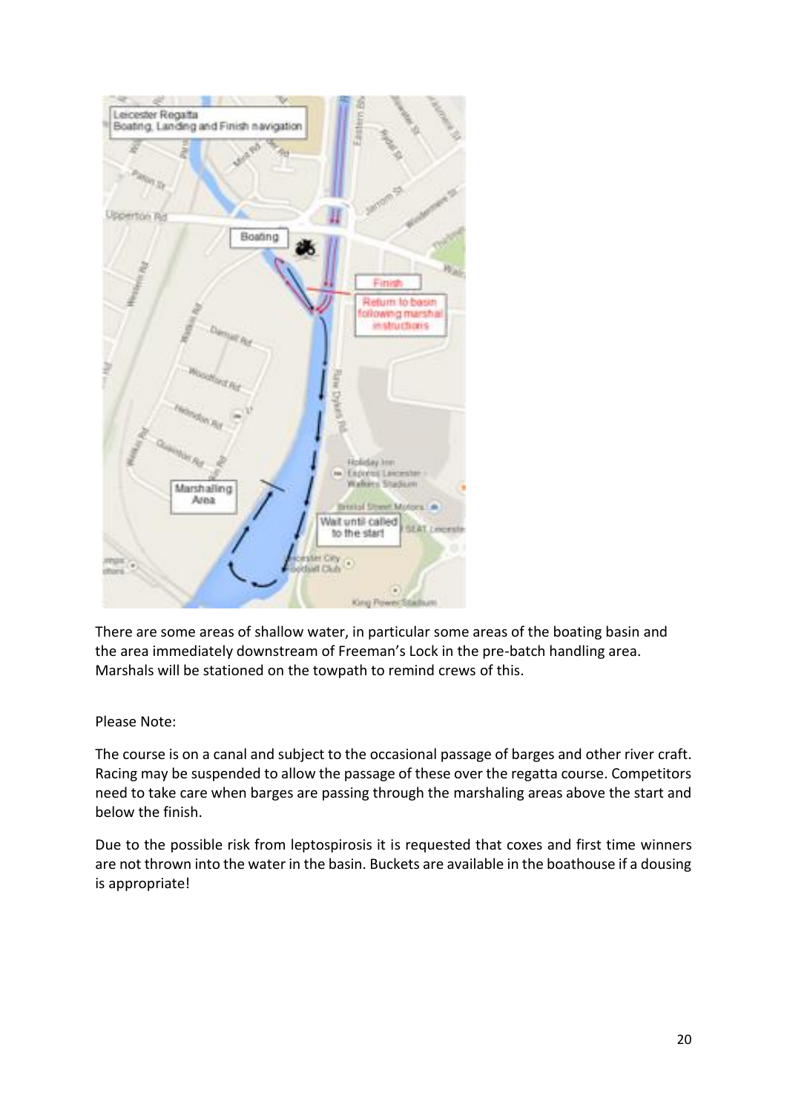

There are some areas of shallow water, in particular some areas of the boating basin and the area immediately downstream of Freeman's Lock in the pre-batch handling area. Marshals will be stationed on the towpath to remind crews of this.

#### Please Note:

The course is on a canal and subject to the occasional passage of barges and other river craft. Racing may be suspended to allow the passage of these over the regatta course. Competitors need to take care when barges are passing through the marshaling areas above the start and below the finish.

Due to the possible risk from leptospirosis it is requested that coxes and first time winners are not thrown into the water in the basin. Buckets are available in the boathouse if a dousing is appropriate!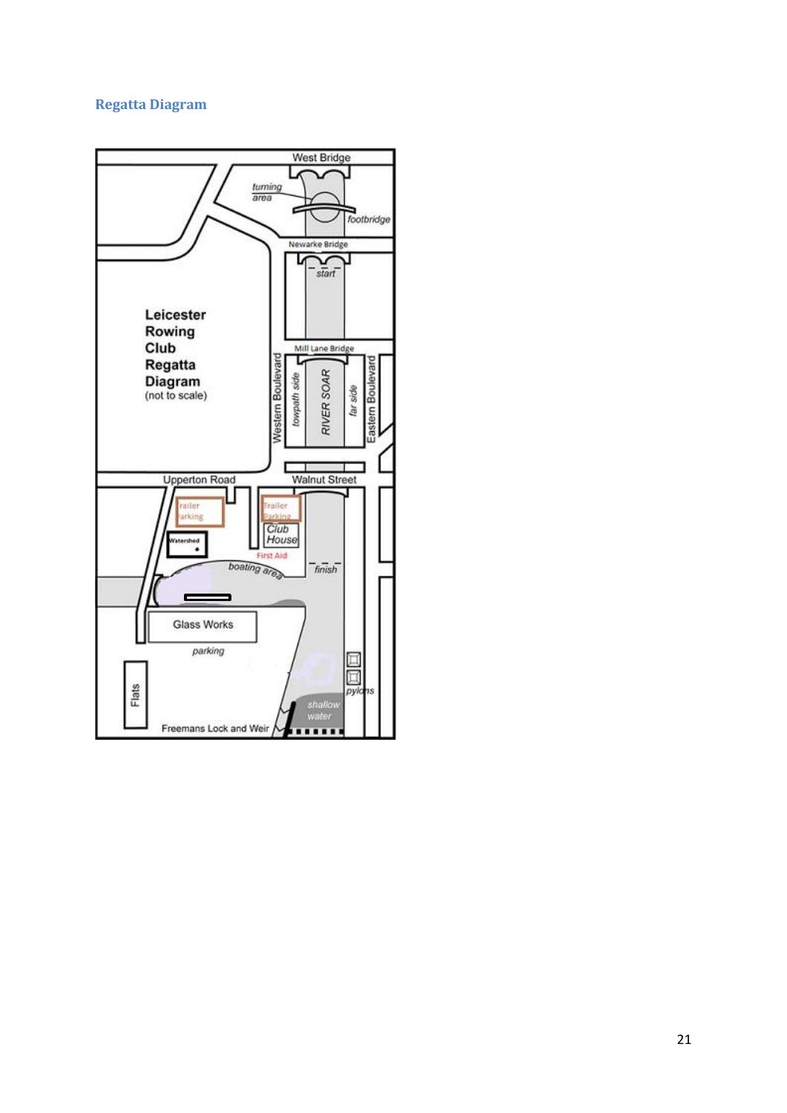## <span id="page-20-0"></span>**Regatta Diagram**

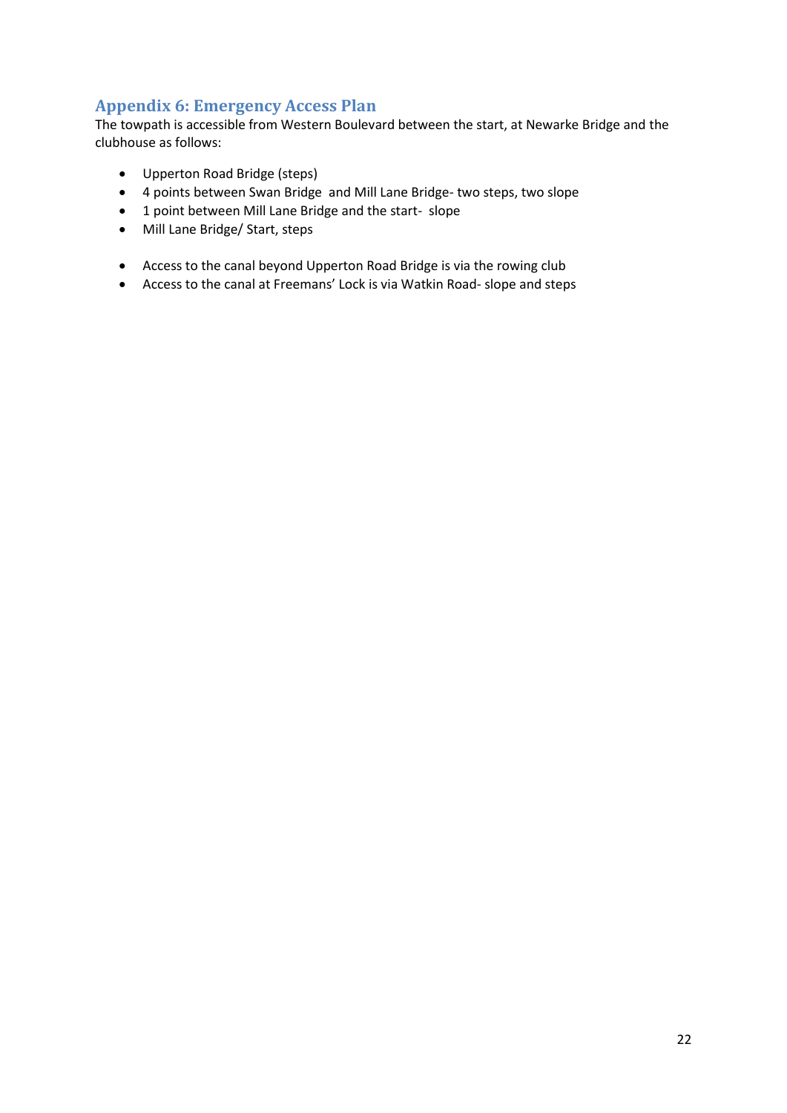## <span id="page-21-0"></span>**Appendix 6: Emergency Access Plan**

The towpath is accessible from Western Boulevard between the start, at Newarke Bridge and the clubhouse as follows:

- Upperton Road Bridge (steps)
- 4 points between Swan Bridge and Mill Lane Bridge- two steps, two slope
- 1 point between Mill Lane Bridge and the start- slope
- Mill Lane Bridge/ Start, steps
- Access to the canal beyond Upperton Road Bridge is via the rowing club
- Access to the canal at Freemans' Lock is via Watkin Road- slope and steps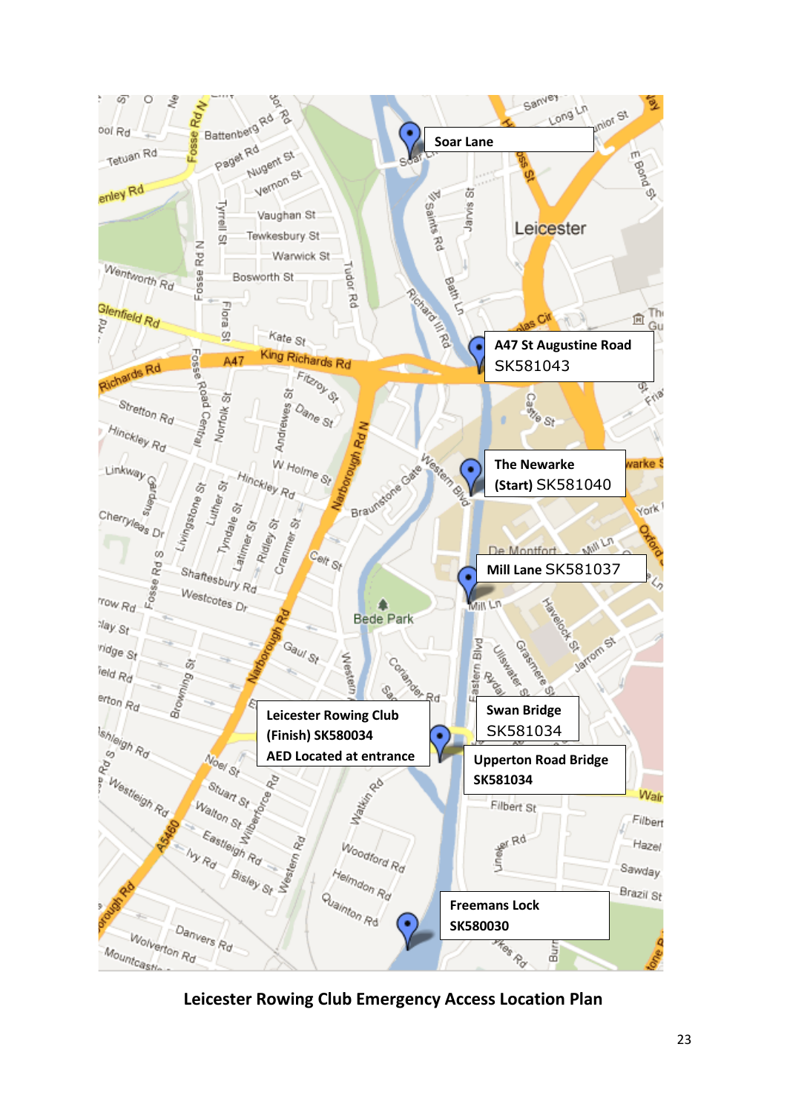

**Leicester Rowing Club Emergency Access Location Plan**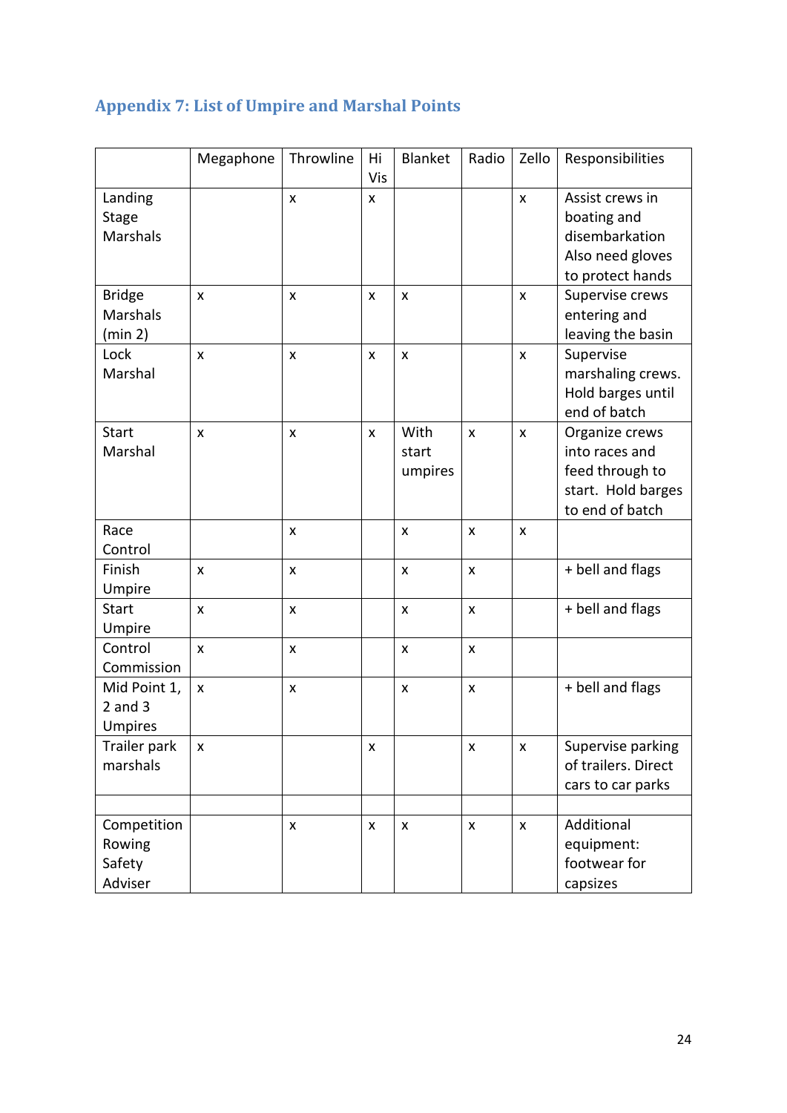<span id="page-23-0"></span>

| <b>Appendix 7: List of Umpire and Marshal Points</b> |  |
|------------------------------------------------------|--|
|------------------------------------------------------|--|

|                 | Megaphone | Throwline    | Hi  | Blanket        | Radio          | Zello        | Responsibilities    |  |
|-----------------|-----------|--------------|-----|----------------|----------------|--------------|---------------------|--|
|                 |           |              | Vis |                |                |              |                     |  |
| Landing         |           | $\mathsf{x}$ | X   |                |                | $\mathsf{x}$ | Assist crews in     |  |
| <b>Stage</b>    |           |              |     |                |                |              | boating and         |  |
| <b>Marshals</b> |           |              |     |                |                |              | disembarkation      |  |
|                 |           |              |     |                |                |              | Also need gloves    |  |
|                 |           |              |     |                |                |              | to protect hands    |  |
| <b>Bridge</b>   | X         | X            | X   | $\pmb{\times}$ |                | X            | Supervise crews     |  |
| <b>Marshals</b> |           |              |     |                |                |              | entering and        |  |
| (min 2)         |           |              |     |                |                |              | leaving the basin   |  |
| Lock            | X         | X            | X   | X              |                | X            | Supervise           |  |
| Marshal         |           |              |     |                |                |              | marshaling crews.   |  |
|                 |           |              |     |                |                |              | Hold barges until   |  |
|                 |           |              |     |                |                |              | end of batch        |  |
| <b>Start</b>    | X         | $\mathsf{x}$ | X   | With           | $\mathsf{x}$   | X            | Organize crews      |  |
| Marshal         |           |              |     | start          |                |              | into races and      |  |
|                 |           |              |     | umpires        |                |              | feed through to     |  |
|                 |           |              |     |                |                |              | start. Hold barges  |  |
|                 |           |              |     |                |                |              | to end of batch     |  |
| Race            |           | $\mathsf{x}$ |     | X              | $\pmb{\times}$ | $\mathsf{x}$ |                     |  |
| Control         |           |              |     |                |                |              |                     |  |
| Finish          | X         | X            |     | X              | X              |              | + bell and flags    |  |
| Umpire          |           |              |     |                |                |              |                     |  |
| <b>Start</b>    | X         | X            |     | X              | $\mathsf{x}$   |              | + bell and flags    |  |
| Umpire          |           |              |     |                |                |              |                     |  |
| Control         | X         | $\mathsf{x}$ |     | $\mathsf{x}$   | $\pmb{\times}$ |              |                     |  |
| Commission      |           |              |     |                |                |              |                     |  |
| Mid Point 1,    | X         | X            |     | x              | X              |              | + bell and flags    |  |
| $2$ and $3$     |           |              |     |                |                |              |                     |  |
| <b>Umpires</b>  |           |              |     |                |                |              |                     |  |
| Trailer park    | X         |              | X   |                | X              | X            | Supervise parking   |  |
| marshals        |           |              |     |                |                |              | of trailers. Direct |  |
|                 |           |              |     |                |                |              | cars to car parks   |  |
|                 |           |              |     |                |                |              |                     |  |
| Competition     |           | X            | X   | $\pmb{\times}$ | X              | $\mathsf{x}$ | Additional          |  |
| Rowing          |           |              |     |                |                |              | equipment:          |  |
| Safety          |           |              |     |                |                |              | footwear for        |  |
| Adviser         |           |              |     |                |                |              | capsizes            |  |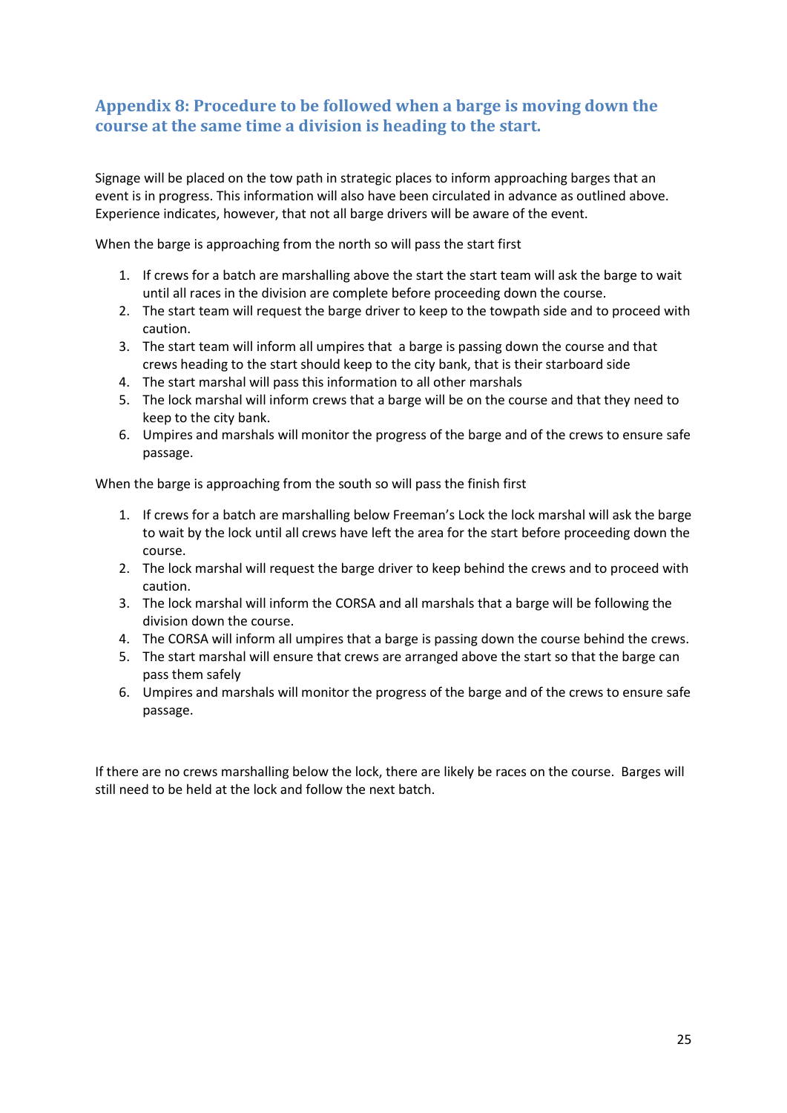## <span id="page-24-0"></span>**Appendix 8: Procedure to be followed when a barge is moving down the course at the same time a division is heading to the start.**

Signage will be placed on the tow path in strategic places to inform approaching barges that an event is in progress. This information will also have been circulated in advance as outlined above. Experience indicates, however, that not all barge drivers will be aware of the event.

When the barge is approaching from the north so will pass the start first

- 1. If crews for a batch are marshalling above the start the start team will ask the barge to wait until all races in the division are complete before proceeding down the course.
- 2. The start team will request the barge driver to keep to the towpath side and to proceed with caution.
- 3. The start team will inform all umpires that a barge is passing down the course and that crews heading to the start should keep to the city bank, that is their starboard side
- 4. The start marshal will pass this information to all other marshals
- 5. The lock marshal will inform crews that a barge will be on the course and that they need to keep to the city bank.
- 6. Umpires and marshals will monitor the progress of the barge and of the crews to ensure safe passage.

When the barge is approaching from the south so will pass the finish first

- 1. If crews for a batch are marshalling below Freeman's Lock the lock marshal will ask the barge to wait by the lock until all crews have left the area for the start before proceeding down the course.
- 2. The lock marshal will request the barge driver to keep behind the crews and to proceed with caution.
- 3. The lock marshal will inform the CORSA and all marshals that a barge will be following the division down the course.
- 4. The CORSA will inform all umpires that a barge is passing down the course behind the crews.
- 5. The start marshal will ensure that crews are arranged above the start so that the barge can pass them safely
- 6. Umpires and marshals will monitor the progress of the barge and of the crews to ensure safe passage.

If there are no crews marshalling below the lock, there are likely be races on the course. Barges will still need to be held at the lock and follow the next batch.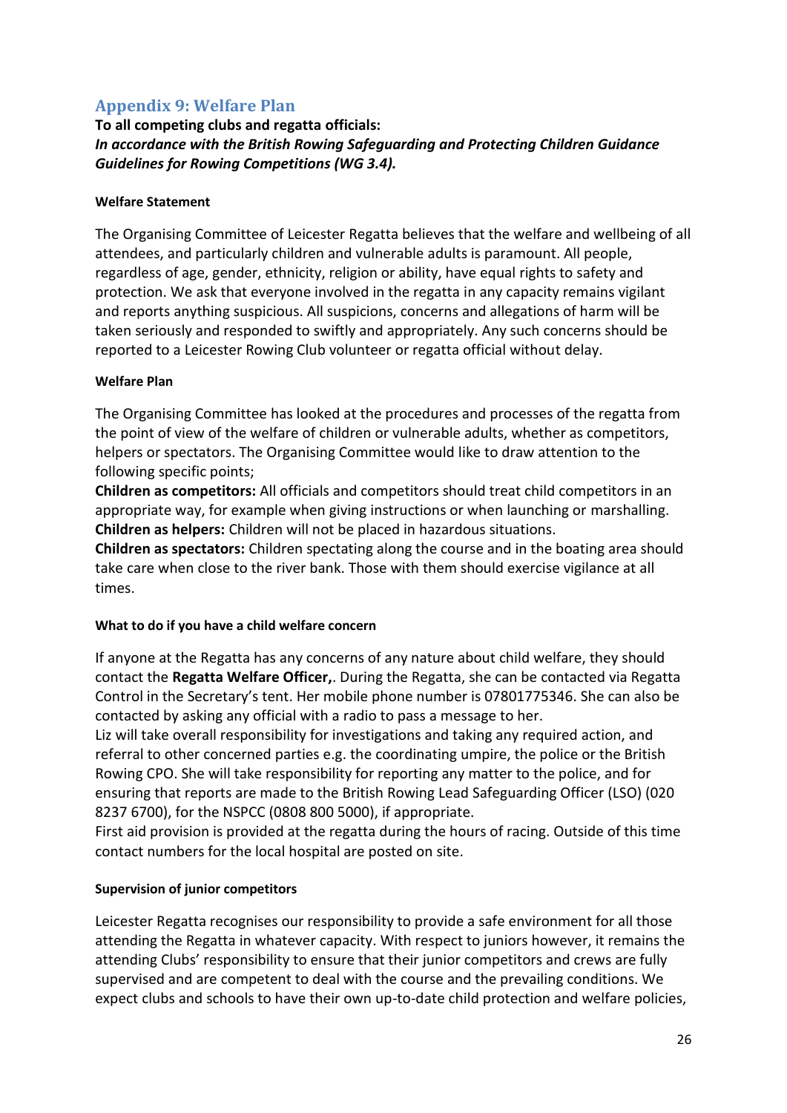## <span id="page-25-0"></span>**Appendix 9: Welfare Plan**

### **To all competing clubs and regatta officials:** *In accordance with the British Rowing Safeguarding and Protecting Children Guidance Guidelines for Rowing Competitions (WG 3.4).*

#### **Welfare Statement**

The Organising Committee of Leicester Regatta believes that the welfare and wellbeing of all attendees, and particularly children and vulnerable adults is paramount. All people, regardless of age, gender, ethnicity, religion or ability, have equal rights to safety and protection. We ask that everyone involved in the regatta in any capacity remains vigilant and reports anything suspicious. All suspicions, concerns and allegations of harm will be taken seriously and responded to swiftly and appropriately. Any such concerns should be reported to a Leicester Rowing Club volunteer or regatta official without delay.

#### **Welfare Plan**

The Organising Committee has looked at the procedures and processes of the regatta from the point of view of the welfare of children or vulnerable adults, whether as competitors, helpers or spectators. The Organising Committee would like to draw attention to the following specific points;

**Children as competitors:** All officials and competitors should treat child competitors in an appropriate way, for example when giving instructions or when launching or marshalling. **Children as helpers:** Children will not be placed in hazardous situations.

**Children as spectators:** Children spectating along the course and in the boating area should take care when close to the river bank. Those with them should exercise vigilance at all times.

#### **What to do if you have a child welfare concern**

If anyone at the Regatta has any concerns of any nature about child welfare, they should contact the **Regatta Welfare Officer,**. During the Regatta, she can be contacted via Regatta Control in the Secretary's tent. Her mobile phone number is 07801775346. She can also be contacted by asking any official with a radio to pass a message to her.

Liz will take overall responsibility for investigations and taking any required action, and referral to other concerned parties e.g. the coordinating umpire, the police or the British Rowing CPO. She will take responsibility for reporting any matter to the police, and for ensuring that reports are made to the British Rowing Lead Safeguarding Officer (LSO) (020 8237 6700), for the NSPCC (0808 800 5000), if appropriate.

First aid provision is provided at the regatta during the hours of racing. Outside of this time contact numbers for the local hospital are posted on site.

#### **Supervision of junior competitors**

Leicester Regatta recognises our responsibility to provide a safe environment for all those attending the Regatta in whatever capacity. With respect to juniors however, it remains the attending Clubs' responsibility to ensure that their junior competitors and crews are fully supervised and are competent to deal with the course and the prevailing conditions. We expect clubs and schools to have their own up-to-date child protection and welfare policies,